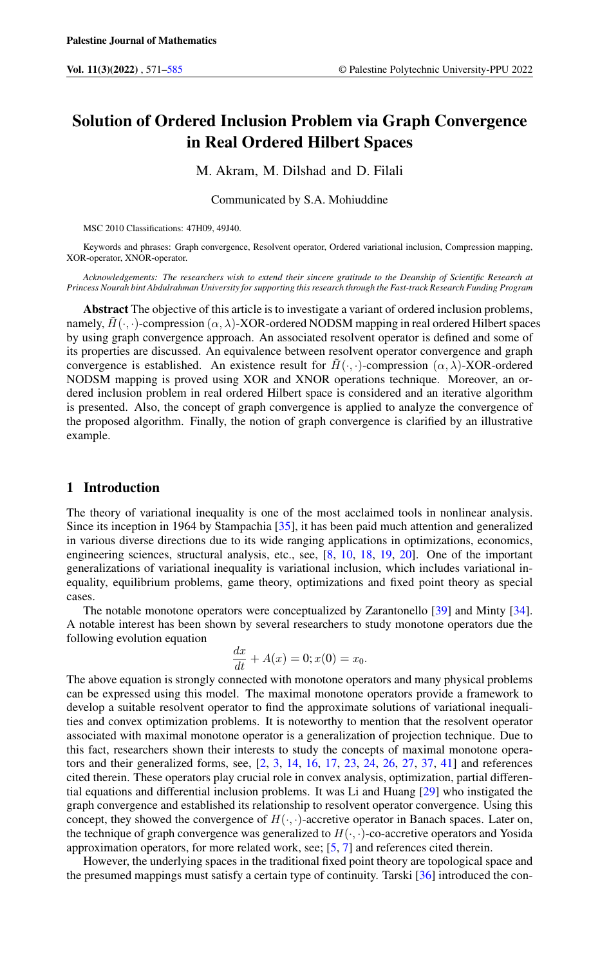# Solution of Ordered Inclusion Problem via Graph Convergence in Real Ordered Hilbert Spaces

M. Akram, M. Dilshad and D. Filali

Communicated by S.A. Mohiuddine

MSC 2010 Classifications: 47H09, 49J40.

Keywords and phrases: Graph convergence, Resolvent operator, Ordered variational inclusion, Compression mapping, XOR-operator, XNOR-operator.

*Acknowledgements: The researchers wish to extend their sincere gratitude to the Deanship of Scientific Research at Princess Nourah bint Abdulrahman University for supporting this research through the Fast-track Research Funding Program*

Abstract The objective of this article is to investigate a variant of ordered inclusion problems, namely,  $\tilde{H}(\cdot, \cdot)$ -compression  $(\alpha, \lambda)$ -XOR-ordered NODSM mapping in real ordered Hilbert spaces by using graph convergence approach. An associated resolvent operator is defined and some of its properties are discussed. An equivalence between resolvent operator convergence and graph convergence is established. An existence result for  $\tilde{H}(\cdot, \cdot)$ -compression  $(\alpha, \lambda)$ -XOR-ordered NODSM mapping is proved using XOR and XNOR operations technique. Moreover, an ordered inclusion problem in real ordered Hilbert space is considered and an iterative algorithm is presented. Also, the concept of graph convergence is applied to analyze the convergence of the proposed algorithm. Finally, the notion of graph convergence is clarified by an illustrative example.

## 1 Introduction

The theory of variational inequality is one of the most acclaimed tools in nonlinear analysis. Since its inception in 1964 by Stampachia [\[35\]](#page-14-0), it has been paid much attention and generalized in various diverse directions due to its wide ranging applications in optimizations, economics, engineering sciences, structural analysis, etc., see, [\[8,](#page-13-1) [10,](#page-13-2) [18,](#page-13-3) [19,](#page-13-4) [20\]](#page-13-5). One of the important generalizations of variational inequality is variational inclusion, which includes variational inequality, equilibrium problems, game theory, optimizations and fixed point theory as special cases.

The notable monotone operators were conceptualized by Zarantonello [\[39\]](#page-14-1) and Minty [\[34\]](#page-14-2). A notable interest has been shown by several researchers to study monotone operators due the following evolution equation

$$
\frac{dx}{dt} + A(x) = 0; x(0) = x_0.
$$

The above equation is strongly connected with monotone operators and many physical problems can be expressed using this model. The maximal monotone operators provide a framework to develop a suitable resolvent operator to find the approximate solutions of variational inequalities and convex optimization problems. It is noteworthy to mention that the resolvent operator associated with maximal monotone operator is a generalization of projection technique. Due to this fact, researchers shown their interests to study the concepts of maximal monotone operators and their generalized forms, see, [\[2,](#page-13-6) [3,](#page-13-7) [14,](#page-13-8) [16,](#page-13-9) [17,](#page-13-10) [23,](#page-13-11) [24,](#page-13-12) [26,](#page-13-13) [27,](#page-13-14) [37,](#page-14-3) [41\]](#page-14-4) and references cited therein. These operators play crucial role in convex analysis, optimization, partial differential equations and differential inclusion problems. It was Li and Huang [\[29\]](#page-14-5) who instigated the graph convergence and established its relationship to resolvent operator convergence. Using this concept, they showed the convergence of  $H(\cdot, \cdot)$ -accretive operator in Banach spaces. Later on, the technique of graph convergence was generalized to  $H(\cdot, \cdot)$ -co-accretive operators and Yosida approximation operators, for more related work, see; [\[5,](#page-13-15) [7\]](#page-13-16) and references cited therein.

However, the underlying spaces in the traditional fixed point theory are topological space and the presumed mappings must satisfy a certain type of continuity. Tarski [\[36\]](#page-14-6) introduced the con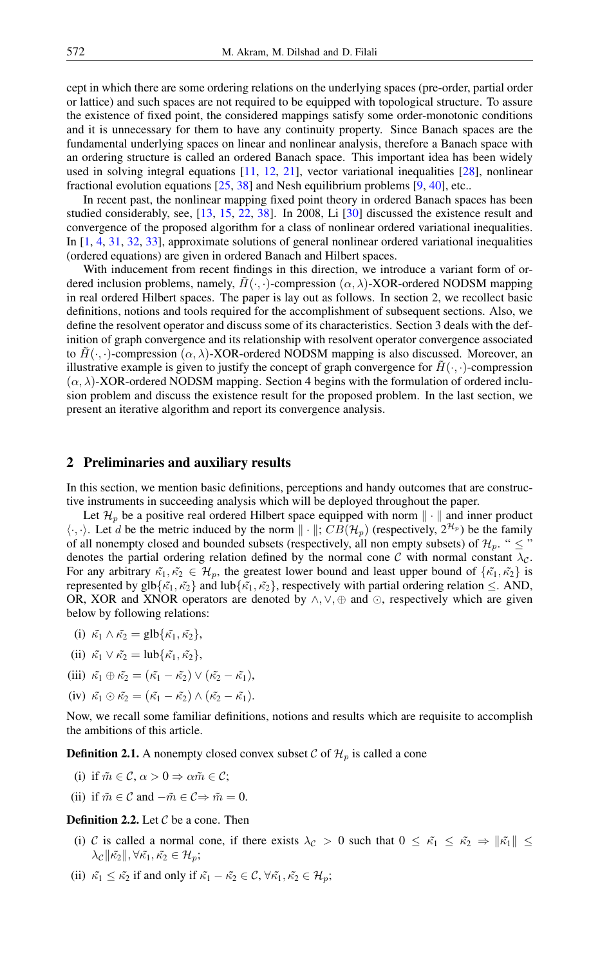cept in which there are some ordering relations on the underlying spaces (pre-order, partial order or lattice) and such spaces are not required to be equipped with topological structure. To assure the existence of fixed point, the considered mappings satisfy some order-monotonic conditions and it is unnecessary for them to have any continuity property. Since Banach spaces are the fundamental underlying spaces on linear and nonlinear analysis, therefore a Banach space with an ordering structure is called an ordered Banach space. This important idea has been widely used in solving integral equations [\[11,](#page-13-17) [12,](#page-13-18) [21\]](#page-13-19), vector variational inequalities [\[28\]](#page-14-7), nonlinear fractional evolution equations [\[25,](#page-13-20) [38\]](#page-14-8) and Nesh equilibrium problems [\[9,](#page-13-21) [40\]](#page-14-9), etc..

In recent past, the nonlinear mapping fixed point theory in ordered Banach spaces has been studied considerably, see, [\[13,](#page-13-22) [15,](#page-13-23) [22,](#page-13-24) [38\]](#page-14-8). In 2008, Li [\[30\]](#page-14-10) discussed the existence result and convergence of the proposed algorithm for a class of nonlinear ordered variational inequalities. In [\[1,](#page-13-25) [4,](#page-13-26) [31,](#page-14-11) [32,](#page-14-12) [33\]](#page-14-13), approximate solutions of general nonlinear ordered variational inequalities (ordered equations) are given in ordered Banach and Hilbert spaces.

With inducement from recent findings in this direction, we introduce a variant form of ordered inclusion problems, namely,  $\hat{H}(\cdot, \cdot)$ -compression  $(\alpha, \lambda)$ -XOR-ordered NODSM mapping in real ordered Hilbert spaces. The paper is lay out as follows. In section 2, we recollect basic definitions, notions and tools required for the accomplishment of subsequent sections. Also, we define the resolvent operator and discuss some of its characteristics. Section 3 deals with the definition of graph convergence and its relationship with resolvent operator convergence associated to  $\tilde{H}(\cdot, \cdot)$ -compression  $(\alpha, \lambda)$ -XOR-ordered NODSM mapping is also discussed. Moreover, an illustrative example is given to justify the concept of graph convergence for  $\tilde{H}(\cdot, \cdot)$ -compression  $(\alpha, \lambda)$ -XOR-ordered NODSM mapping. Section 4 begins with the formulation of ordered inclusion problem and discuss the existence result for the proposed problem. In the last section, we present an iterative algorithm and report its convergence analysis.

#### 2 Preliminaries and auxiliary results

In this section, we mention basic definitions, perceptions and handy outcomes that are constructive instruments in succeeding analysis which will be deployed throughout the paper.

Let  $\mathcal{H}_p$  be a positive real ordered Hilbert space equipped with norm  $\|\cdot\|$  and inner product  $\langle \cdot, \cdot \rangle$ . Let d be the metric induced by the norm  $\| \cdot \|$ ;  $CB(\mathcal{H}_p)$  (respectively,  $2^{\mathcal{H}_p}$ ) be the family of all nonempty closed and bounded subsets (respectively, all non empty subsets) of  $\mathcal{H}_p$ . "  $\leq$  " denotes the partial ordering relation defined by the normal cone C with normal constant  $\lambda_c$ . For any arbitrary  $\tilde{\kappa}_1, \tilde{\kappa}_2 \in \mathcal{H}_p$ , the greatest lower bound and least upper bound of  $\{\tilde{\kappa}_1, \tilde{\kappa}_2\}$  is represented by glb $\{\tilde{\kappa_1}, \tilde{\kappa_2}\}$  and lub $\{\tilde{\kappa_1}, \tilde{\kappa_2}\}$ , respectively with partial ordering relation  $\leq$ . AND, OR, XOR and XNOR operators are denoted by  $\land$ ,  $\lor$ ,  $\oplus$  and  $\odot$ , respectively which are given below by following relations:

- (i)  $\tilde{\kappa_1} \wedge \tilde{\kappa_2} = \text{glb}\{\tilde{\kappa_1}, \tilde{\kappa_2}\},\$
- (ii)  $\tilde{\kappa_1} \vee \tilde{\kappa_2} = \text{lub}\{\tilde{\kappa_1}, \tilde{\kappa_2}\},\$
- (iii)  $\tilde{\kappa_1} \oplus \tilde{\kappa_2} = (\tilde{\kappa_1} \tilde{\kappa_2}) \vee (\tilde{\kappa_2} \tilde{\kappa_1}),$
- (iv)  $\tilde{\kappa_1} \odot \tilde{\kappa_2} = (\tilde{\kappa_1} \tilde{\kappa_2}) \wedge (\tilde{\kappa_2} \tilde{\kappa_1}).$

Now, we recall some familiar definitions, notions and results which are requisite to accomplish the ambitions of this article.

**Definition 2.1.** A nonempty closed convex subset C of  $\mathcal{H}_n$  is called a cone

- (i) if  $\tilde{m} \in \mathcal{C}, \alpha > 0 \Rightarrow \alpha \tilde{m} \in \mathcal{C}$ ;
- (ii) if  $\tilde{m} \in \mathcal{C}$  and  $-\tilde{m} \in \mathcal{C} \Rightarrow \tilde{m} = 0$ .

#### **Definition 2.2.** Let  $C$  be a cone. Then

- (i) C is called a normal cone, if there exists  $\lambda_c > 0$  such that  $0 \leq \tilde{\kappa_1} \leq \tilde{\kappa_2} \Rightarrow ||\tilde{\kappa_1}|| \leq$  $\lambda_{\mathcal{C}} \|\tilde{\kappa_2}\|, \forall \tilde{\kappa_1}, \tilde{\kappa_2} \in \mathcal{H}_p;$
- (ii)  $\tilde{\kappa_1} \leq \tilde{\kappa_2}$  if and only if  $\tilde{\kappa_1} \tilde{\kappa_2} \in \mathcal{C}$ ,  $\forall \tilde{\kappa_1}, \tilde{\kappa_2} \in \mathcal{H}_p$ ;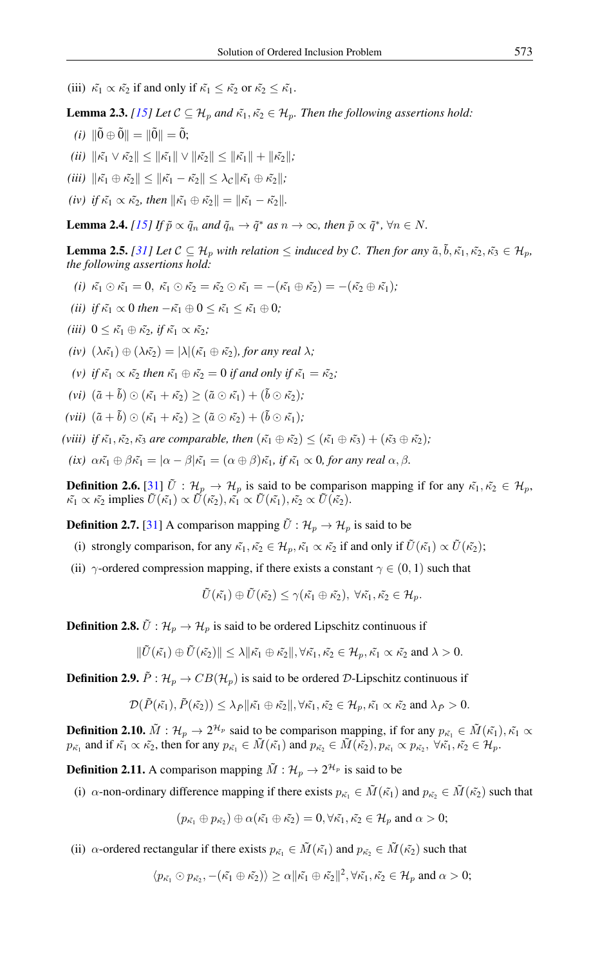- (iii)  $\tilde{\kappa_1} \propto \tilde{\kappa_2}$  if and only if  $\tilde{\kappa_1} \leq \tilde{\kappa_2}$  or  $\tilde{\kappa_2} \leq \tilde{\kappa_1}$ .
- <span id="page-2-1"></span>**Lemma 2.3.** *[\[15\]](#page-13-23) Let*  $C \subseteq H_p$  *and*  $\tilde{\kappa_1}, \tilde{\kappa_2} \in H_p$ *. Then the following assertions hold:*
- *(i)*  $\|\tilde{0}\oplus\tilde{0}\| = \|\tilde{0}\| = \tilde{0};$
- *(ii)*  $\|\tilde{\kappa_1} \vee \tilde{\kappa_2}\| \le \|\tilde{\kappa_1}\| \vee \|\tilde{\kappa_2}\| \le \|\tilde{\kappa_1}\| + \|\tilde{\kappa_2}\|$ ;
- *(iii)*  $\|\tilde{\kappa_1} \oplus \tilde{\kappa_2}\| \le \|\tilde{\kappa_1} \tilde{\kappa_2}\| \le \lambda_{\mathcal{C}} \|\tilde{\kappa_1} \oplus \tilde{\kappa_2}\|$ ;
- *(iv) if*  $\tilde{\kappa_1} \propto \tilde{\kappa_2}$ *, then*  $\|\tilde{\kappa_1} \oplus \tilde{\kappa_2}\| = \|\tilde{\kappa_1} \tilde{\kappa_2}\|.$

**Lemma 2.4.** [\[15\]](#page-13-23) If  $\tilde{p} \propto \tilde{q}_n$  and  $\tilde{q}_n \to \tilde{q}^*$  as  $n \to \infty$ , then  $\tilde{p} \propto \tilde{q}^*$ ,  $\forall n \in N$ .

<span id="page-2-0"></span>**Lemma 2.5.** *[\[31\]](#page-14-11)* Let  $C \subseteq H_p$  *with relation*  $\leq$  *induced by C. Then for any*  $\tilde{a}, \tilde{b}, \tilde{\kappa_1}, \tilde{\kappa_2}, \tilde{\kappa_3} \in H_p$ , *the following assertions hold:*

- (i)  $\tilde{\kappa_1} \odot \tilde{\kappa_1} = 0$ ,  $\tilde{\kappa_1} \odot \tilde{\kappa_2} = \tilde{\kappa_2} \odot \tilde{\kappa_1} = -(\tilde{\kappa_1} \oplus \tilde{\kappa_2}) = -(\tilde{\kappa_2} \oplus \tilde{\kappa_1})$ ;
- *(ii) if*  $\tilde{\kappa_1} \propto 0$  *then*  $-\tilde{\kappa_1} \oplus 0 \le \tilde{\kappa_1} \le \tilde{\kappa_1} \oplus 0$ ;
- *(iii)*  $0 \leq \tilde{\kappa_1} \oplus \tilde{\kappa_2}$ *, if*  $\tilde{\kappa_1} \propto \tilde{\kappa_2}$ *;*
- *(iv)*  $(\lambda \tilde{\kappa_1}) \oplus (\lambda \tilde{\kappa_2}) = |\lambda|(\tilde{\kappa_1} \oplus \tilde{\kappa_2})$ *, for any real*  $\lambda$ *;*
- *(v) if*  $\tilde{\kappa_1} \propto \tilde{\kappa_2}$  *then*  $\tilde{\kappa_1} \oplus \tilde{\kappa_2} = 0$  *if and only if*  $\tilde{\kappa_1} = \tilde{\kappa_2}$ ;
- (vi)  $(\tilde{a} + \tilde{b}) \odot (\tilde{\kappa_1} + \tilde{\kappa_2}) \geq (\tilde{a} \odot \tilde{\kappa_1}) + (\tilde{b} \odot \tilde{\kappa_2})$ ;
- (vii)  $(\tilde{a} + \tilde{b}) \odot (\tilde{\kappa_1} + \tilde{\kappa_2}) > (\tilde{a} \odot \tilde{\kappa_2}) + (\tilde{b} \odot \tilde{\kappa_1});$
- *(viii) if*  $\tilde{\kappa_1}, \tilde{\kappa_2}, \tilde{\kappa_3}$  *are comparable, then*  $(\tilde{\kappa_1} \oplus \tilde{\kappa_2}) \leq (\tilde{\kappa_1} \oplus \tilde{\kappa_3}) + (\tilde{\kappa_3} \oplus \tilde{\kappa_2})$ ;
- *(ix)*  $\alpha \tilde{\kappa_1} \oplus \beta \tilde{\kappa_1} = |\alpha \beta| \tilde{\kappa_1} = (\alpha \oplus \beta) \tilde{\kappa_1}$ *, if*  $\tilde{\kappa_1} \propto 0$ *, for any real*  $\alpha, \beta$ *.*

**Definition 2.6.** [\[31\]](#page-14-11)  $\tilde{U}$  :  $\mathcal{H}_p \to \mathcal{H}_p$  is said to be comparison mapping if for any  $\tilde{\kappa_1}, \tilde{\kappa_2} \in \mathcal{H}_p$ ,  $\tilde{\kappa_1} \propto \tilde{\kappa_2}$  implies  $\tilde{U}(\tilde{\kappa_1}) \propto \tilde{U}(\tilde{\kappa_2}), \tilde{\kappa_1} \propto \tilde{U}(\tilde{\kappa_1}), \tilde{\kappa_2} \propto \tilde{U}(\tilde{\kappa_2}).$ 

**Definition 2.7.** [\[31\]](#page-14-11) A comparison mapping  $\tilde{U}: \mathcal{H}_p \to \mathcal{H}_p$  is said to be

- (i) strongly comparison, for any  $\tilde{\kappa}_1, \tilde{\kappa}_2 \in \mathcal{H}_p, \tilde{\kappa}_1 \propto \tilde{\kappa}_2$  if and only if  $\tilde{U}(\tilde{\kappa}_1) \propto \tilde{U}(\tilde{\kappa}_2)$ ;
- (ii)  $\gamma$ -ordered compression mapping, if there exists a constant  $\gamma \in (0, 1)$  such that

$$
\tilde{U}(\tilde{\kappa_1}) \oplus \tilde{U}(\tilde{\kappa_2}) \leq \gamma(\tilde{\kappa_1} \oplus \tilde{\kappa_2}), \ \forall \tilde{\kappa_1}, \tilde{\kappa_2} \in \mathcal{H}_p.
$$

**Definition 2.8.**  $\tilde{U}$  :  $\mathcal{H}_p \rightarrow \mathcal{H}_p$  is said to be ordered Lipschitz continuous if

$$
\|\tilde{U}(\tilde{\kappa_1})\oplus \tilde{U}(\tilde{\kappa_2})\| \leq \lambda \|\tilde{\kappa_1}\oplus \tilde{\kappa_2}\|, \forall \tilde{\kappa_1}, \tilde{\kappa_2}\in \mathcal{H}_p, \tilde{\kappa_1}\propto \tilde{\kappa_2} \text{ and } \lambda > 0.
$$

**Definition 2.9.**  $\tilde{P}: \mathcal{H}_p \to CB(\mathcal{H}_p)$  is said to be ordered D-Lipschitz continuous if

$$
\mathcal{D}(\tilde{P}(\tilde{\kappa_1}),\tilde{P}(\tilde{\kappa_2}))\leq \lambda_{\tilde{P}}\|\tilde{\kappa_1}\oplus \tilde{\kappa_2}\|,\forall \tilde{\kappa_1},\tilde{\kappa_2}\in \mathcal{H}_p,\tilde{\kappa_1}\propto \tilde{\kappa_2} \text{ and } \lambda_{\tilde{P}}>0.
$$

**Definition 2.10.**  $\tilde{M}$  :  $\mathcal{H}_p \to 2^{\mathcal{H}_p}$  said to be comparison mapping, if for any  $p_{\tilde{\kappa_1}} \in \tilde{M}(\tilde{\kappa_1})$ ,  $\tilde{\kappa_1} \propto$  $p_{\tilde{\kappa_1}}$  and if  $\tilde{\kappa_1} \propto \tilde{\kappa_2}$ , then for any  $p_{\tilde{\kappa_1}} \in \tilde{M}(\tilde{\kappa_1})$  and  $p_{\tilde{\kappa_2}} \in \tilde{M}(\tilde{\kappa_2})$ ,  $p_{\tilde{\kappa_1}} \propto p_{\tilde{\kappa_2}}$ ,  $\forall \tilde{\kappa_1}, \tilde{\kappa_2} \in \mathcal{H}_p$ .

**Definition 2.11.** A comparison mapping  $\tilde{M}$  :  $\mathcal{H}_p \rightarrow 2^{\mathcal{H}_p}$  is said to be

(i)  $\alpha$ -non-ordinary difference mapping if there exists  $p_{\kappa_1} \in \tilde{M}(\kappa_1)$  and  $p_{\kappa_2} \in \tilde{M}(\kappa_2)$  such that

$$
(p_{\tilde{\kappa_1}} \oplus p_{\tilde{\kappa_2}}) \oplus \alpha(\tilde{\kappa_1} \oplus \tilde{\kappa_2}) = 0, \forall \tilde{\kappa_1}, \tilde{\kappa_2} \in \mathcal{H}_p \text{ and } \alpha > 0;
$$

(ii)  $\alpha$ -ordered rectangular if there exists  $p_{\tilde{\kappa_1}} \in \tilde{M}(\tilde{\kappa_1})$  and  $p_{\tilde{\kappa_2}} \in \tilde{M}(\tilde{\kappa_2})$  such that

$$
\langle p_{\tilde{\kappa_1}} \odot p_{\tilde{\kappa_2}}, -(\tilde{\kappa_1} \oplus \tilde{\kappa_2}) \rangle \geq \alpha \|\tilde{\kappa_1} \oplus \tilde{\kappa_2}\|^2, \forall \tilde{\kappa_1}, \tilde{\kappa_2} \in \mathcal{H}_p \text{ and } \alpha > 0;
$$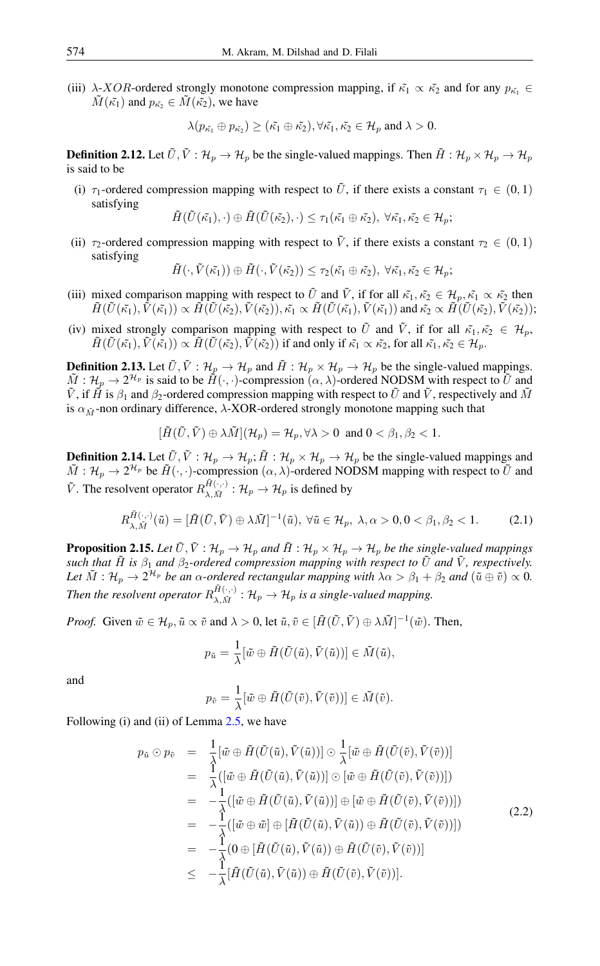(iii)  $\lambda$ -XOR-ordered strongly monotone compression mapping, if  $\tilde{\kappa}_1 \propto \tilde{\kappa}_2$  and for any  $p_{\tilde{\kappa}_1} \in$  $\tilde{M}(\tilde{\kappa_1})$  and  $p_{\tilde{\kappa_2}} \in \tilde{M}(\tilde{\kappa_2})$ , we have

$$
\lambda(p_{\tilde{\kappa_1}}\oplus p_{\tilde{\kappa_2}})\geq (\tilde{\kappa_1}\oplus \tilde{\kappa_2}), \forall \tilde{\kappa_1}, \tilde{\kappa_2}\in \mathcal{H}_p \text{ and } \lambda>0.
$$

**Definition 2.12.** Let  $\tilde{U}, \tilde{V} : \mathcal{H}_p \to \mathcal{H}_p$  be the single-valued mappings. Then  $\tilde{H} : \mathcal{H}_p \times \mathcal{H}_p \to \mathcal{H}_p$ is said to be

(i)  $\tau_1$ -ordered compression mapping with respect to  $\tilde{U}$ , if there exists a constant  $\tau_1 \in (0,1)$ satisfying

$$
\tilde{H}(\tilde{U}(\tilde{\kappa_1}),\cdot) \oplus \tilde{H}(\tilde{U}(\tilde{\kappa_2}),\cdot) \leq \tau_1(\tilde{\kappa_1} \oplus \tilde{\kappa_2}), \ \forall \tilde{\kappa_1}, \tilde{\kappa_2} \in \mathcal{H}_p;
$$

(ii)  $\tau_2$ -ordered compression mapping with respect to  $\tilde{V}$ , if there exists a constant  $\tau_2 \in (0,1)$ satisfying

$$
\tilde{H}(\cdot,\tilde{V}(\tilde{\kappa_1}))\oplus\tilde{H}(\cdot,\tilde{V}(\tilde{\kappa_2}))\leq\tau_2(\tilde{\kappa_1}\oplus\tilde{\kappa_2}),\ \forall\tilde{\kappa_1},\tilde{\kappa_2}\in\mathcal{H}_p;
$$

- (iii) mixed comparison mapping with respect to  $\tilde{U}$  and  $\tilde{V}$ , if for all  $\tilde{\kappa_1}, \tilde{\kappa_2} \in \mathcal{H}_n, \tilde{\kappa_1} \propto \tilde{\kappa_2}$  then  $\tilde{H}(\tilde{U}(\tilde{\kappa_1}), \tilde{V}(\tilde{\kappa_1})) \propto \tilde{H}(\tilde{U}(\tilde{\kappa_2}), \tilde{V}(\tilde{\kappa_2})), \tilde{\kappa_1} \propto \tilde{H}(\tilde{U}(\tilde{\kappa_1}), \tilde{V}(\tilde{\kappa_1}))$  and  $\tilde{\kappa_2} \propto \tilde{H}(\tilde{U}(\tilde{\kappa_2}), \tilde{V}(\tilde{\kappa_2}));$
- (iv) mixed strongly comparison mapping with respect to  $\tilde{U}$  and  $\tilde{V}$ , if for all  $\tilde{\kappa_1}, \tilde{\kappa_2} \in \mathcal{H}_p$ ,  $\tilde{H}(\tilde{U}(\tilde{\kappa_1}),\tilde{V}(\tilde{\kappa_1})) \propto \tilde{H}(\tilde{U}(\tilde{\kappa_2}),\tilde{V}(\tilde{\kappa_2}))$  if and only if  $\tilde{\kappa_1} \propto \tilde{\kappa_2}$ , for all  $\tilde{\kappa_1}, \tilde{\kappa_2} \in \mathcal{H}_p$ .

**Definition 2.13.** Let  $\tilde{U}, \tilde{V} : \mathcal{H}_p \to \mathcal{H}_p$  and  $\tilde{H} : \mathcal{H}_p \times \mathcal{H}_p \to \mathcal{H}_p$  be the single-valued mappings.  $\tilde{M}: \mathcal{H}_p \to 2^{\mathcal{H}_p}$  is said to be  $\tilde{H}(\cdot, \cdot)$ -compression  $(\alpha, \lambda)$ -ordered NODSM with respect to  $\tilde{U}$  and  $\tilde{V}$ , if  $\tilde{H}$  is  $\beta_1$  and  $\beta_2$ -ordered compression mapping with respect to  $\tilde{U}$  and  $\tilde{V}$ , respectively and  $\tilde{M}$ is  $\alpha_{\tilde{M}}$ -non ordinary difference,  $\lambda$ -XOR-ordered strongly monotone mapping such that

$$
[\tilde{H}(\tilde{U}, \tilde{V}) \oplus \lambda \tilde{M}]({\cal H}_p) = {\cal H}_p, \forall \lambda > 0 \text{ and } 0 < \beta_1, \beta_2 < 1.
$$

**Definition 2.14.** Let  $\tilde{U}, \tilde{V} : \mathcal{H}_p \to \mathcal{H}_p$ ;  $\tilde{H} : \mathcal{H}_p \times \mathcal{H}_p \to \mathcal{H}_p$  be the single-valued mappings and  $\tilde{M}: \mathcal{H}_p \to 2^{\mathcal{H}_p}$  be  $\tilde{H}(\cdot, \cdot)$ -compression  $(\alpha, \lambda)$ -ordered NODSM mapping with respect to  $\tilde{U}$  and  $\tilde{V}$ . The resolvent operator  $R_{\lambda M}^{\tilde{H}(\cdot,\cdot)}$  $\mathcal{H}_{\lambda,\tilde{M}}^{H(\cdot,\cdot)}: \mathcal{H}_p \to \mathcal{H}_p$  is defined by

$$
R_{\lambda,\tilde{M}}^{\tilde{H}(\cdot,\cdot)}(\tilde{u}) = [\tilde{H}(\tilde{U},\tilde{V}) \oplus \lambda \tilde{M}]^{-1}(\tilde{u}), \ \forall \tilde{u} \in \mathcal{H}_p, \ \lambda, \alpha > 0, 0 < \beta_1, \beta_2 < 1. \tag{2.1}
$$

**Proposition 2.15.** Let  $\tilde{U}, \tilde{V} : \mathcal{H}_p \to \mathcal{H}_p$  and  $\tilde{H} : \mathcal{H}_p \times \mathcal{H}_p \to \mathcal{H}_p$  be the single-valued mappings *such that*  $\tilde{H}$  *is*  $\beta_1$  *and*  $\beta_2$ *-ordered compression mapping with respect to*  $\tilde{U}$  *and*  $\tilde{V}$ *, respectively.* Let  $\tilde{M}: \mathcal{H}_p\to 2^{\mathcal{H}_p}$  be an  $\alpha$ -ordered rectangular mapping with  $\lambda\alpha>\beta_1+\beta_2$  and  $(\tilde{u}\oplus\tilde{v})\propto 0$ . Then the resolvent operator  $R_{\lambda}^{\tilde{H}(\cdot,\cdot)}$  $\mathcal{H}_{\lambda,\tilde{M}}^{H(\cdot,\cdot)}:\mathcal{H}_p\to\mathcal{H}_p$  is a single-valued mapping.

*Proof.* Given  $\tilde{w} \in \mathcal{H}_p$ ,  $\tilde{u} \propto \tilde{v}$  and  $\lambda > 0$ , let  $\tilde{u}, \tilde{v} \in [\tilde{H}(\tilde{U}, \tilde{V}) \oplus \lambda \tilde{M}]^{-1}(\tilde{w})$ . Then,

$$
p_{\tilde{u}} = \frac{1}{\lambda} [\tilde{w} \oplus \tilde{H}(\tilde{U}(\tilde{u}), \tilde{V}(\tilde{u}))] \in \tilde{M}(\tilde{u}),
$$

and

$$
p_{\tilde{v}} = \frac{1}{\lambda} [\tilde{w} \oplus \tilde{H}(\tilde{U}(\tilde{v}), \tilde{V}(\tilde{v}))] \in \tilde{M}(\tilde{v}).
$$

Following (i) and (ii) of Lemma [2.5,](#page-2-0) we have

$$
p_{\tilde{u}} \odot p_{\tilde{v}} = \frac{1}{\lambda} [\tilde{w} \oplus \tilde{H}(\tilde{U}(\tilde{u}), \tilde{V}(\tilde{u}))] \odot \frac{1}{\lambda} [\tilde{w} \oplus \tilde{H}(\tilde{U}(\tilde{v}), \tilde{V}(\tilde{v}))]
$$
  
\n
$$
= \frac{1}{\lambda} ([\tilde{w} \oplus \tilde{H}(\tilde{U}(\tilde{u}), \tilde{V}(\tilde{u}))] \odot [\tilde{w} \oplus \tilde{H}(\tilde{U}(\tilde{v}), \tilde{V}(\tilde{v}))])
$$
  
\n
$$
= -\frac{1}{\lambda} ([\tilde{w} \oplus \tilde{H}(\tilde{U}(\tilde{u}), \tilde{V}(\tilde{u}))] \oplus [\tilde{w} \oplus \tilde{H}(\tilde{U}(\tilde{v}), \tilde{V}(\tilde{v}))])
$$
  
\n
$$
= -\frac{1}{\lambda} ([\tilde{w} \oplus \tilde{w}] \oplus [\tilde{H}(\tilde{U}(\tilde{u}), \tilde{V}(\tilde{u})) \oplus \tilde{H}(\tilde{U}(\tilde{v}), \tilde{V}(\tilde{v}))])
$$
  
\n
$$
= -\frac{1}{\lambda} (0 \oplus [\tilde{H}(\tilde{U}(\tilde{u}), \tilde{V}(\tilde{u})) \oplus \tilde{H}(\tilde{U}(\tilde{v}), \tilde{V}(\tilde{v}))]
$$
  
\n
$$
\leq -\frac{1}{\lambda} [\tilde{H}(\tilde{U}(\tilde{u}), \tilde{V}(\tilde{u})) \oplus \tilde{H}(\tilde{U}(\tilde{v}), \tilde{V}(\tilde{v}))].
$$
\n(2.2)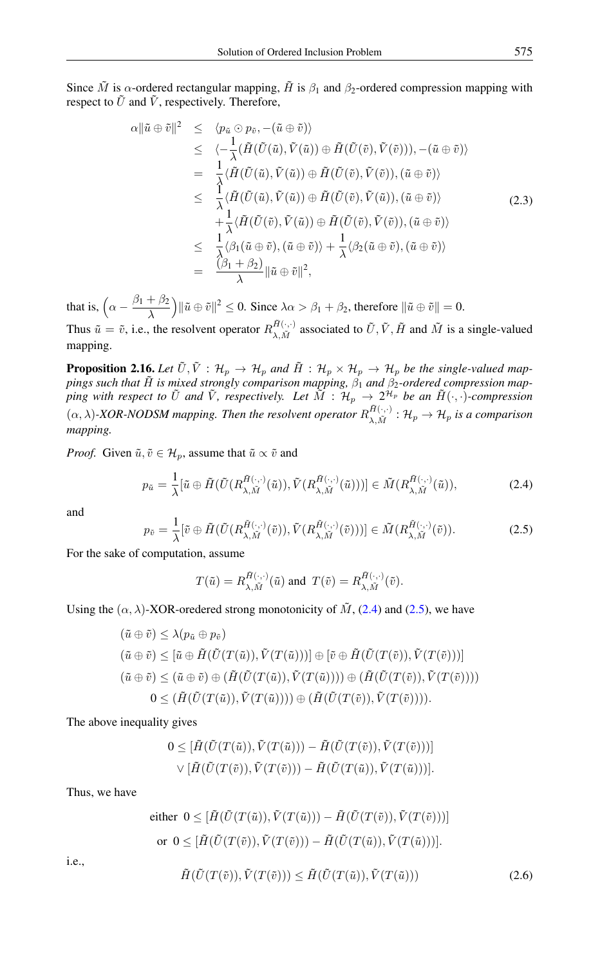Since  $\tilde{M}$  is  $\alpha$ -ordered rectangular mapping,  $\tilde{H}$  is  $\beta_1$  and  $\beta_2$ -ordered compression mapping with respect to  $\tilde{U}$  and  $\tilde{V}$ , respectively. Therefore,

$$
\alpha \|\tilde{u} \oplus \tilde{v}\|^{2} \leq \langle p_{\tilde{u}} \odot p_{\tilde{v}}, -(\tilde{u} \oplus \tilde{v}) \rangle \n\leq \langle -\frac{1}{\lambda} (\tilde{H}(\tilde{U}(\tilde{u}), \tilde{V}(\tilde{u})) \oplus \tilde{H}(\tilde{U}(\tilde{v}), \tilde{V}(\tilde{v}))), -(\tilde{u} \oplus \tilde{v}) \rangle \n= \frac{1}{\lambda} \langle \tilde{H}(\tilde{U}(\tilde{u}), \tilde{V}(\tilde{u})) \oplus \tilde{H}(\tilde{U}(\tilde{v}), \tilde{V}(\tilde{v})), (\tilde{u} \oplus \tilde{v}) \rangle \n\leq \frac{1}{\lambda} \langle \tilde{H}(\tilde{U}(\tilde{u}), \tilde{V}(\tilde{u})) \oplus \tilde{H}(\tilde{U}(\tilde{v}), \tilde{V}(\tilde{u})), (\tilde{u} \oplus \tilde{v}) \rangle \n+ \frac{1}{\lambda} \langle \tilde{H}(\tilde{U}(\tilde{v}), \tilde{V}(\tilde{u})) \oplus \tilde{H}(\tilde{U}(\tilde{v}), \tilde{V}(\tilde{v})), (\tilde{u} \oplus \tilde{v}) \rangle \n\leq \frac{1}{\lambda} \langle \beta_{1}(\tilde{u} \oplus \tilde{v}), (\tilde{u} \oplus \tilde{v}) \rangle + \frac{1}{\lambda} \langle \beta_{2}(\tilde{u} \oplus \tilde{v}), (\tilde{u} \oplus \tilde{v}) \rangle \n= \frac{\langle \beta_{1} + \beta_{2} \rangle}{\lambda} \|\tilde{u} \oplus \tilde{v}\|^{2},
$$
\n(2.3)

that is,  $\left(\alpha - \frac{\beta_1 + \beta_2}{\lambda}\right)$ λ  $k(\tilde{u} \oplus \tilde{v})^2 \leq 0$ . Since  $\lambda \alpha > \beta_1 + \beta_2$ , therefore  $\|\tilde{u} \oplus \tilde{v}\| = 0$ . Thus  $\tilde{u} = \tilde{v}$ , i.e., the resolvent operator  $R_{\lambda}^{\tilde{H}(\cdot,\cdot)}$  $A^{(H(\cdot,\cdot))}_{\lambda,\tilde{M}}$  associated to  $\tilde{U}, \tilde{V}, \tilde{H}$  and  $\tilde{M}$  is a single-valued mapping.

**Proposition 2.16.** Let  $\tilde{U}, \tilde{V}$  :  $\mathcal{H}_p \to \mathcal{H}_p$  and  $\tilde{H}$  :  $\mathcal{H}_p \times \mathcal{H}_p \to \mathcal{H}_p$  be the single-valued map*pings such that* H˜ *is mixed strongly comparison mapping,* β<sup>1</sup> *and* β2*-ordered compression map*ping with respect to  $\tilde{U}$  and  $\tilde{V}$ , respectively. Let  $\tilde{M}$  :  $\mathcal{H}_p$   $\to$   $2^{\mathcal{H}_p}$  be an  $\tilde{H}(\cdot,\cdot)$ -compression  $(\alpha, \lambda)$ -XOR-NODSM mapping. Then the resolvent operator  $R_{\lambda M}^{\tilde{H}(\cdot, \cdot)}$  $\mathcal{H}_{\lambda,\tilde{M}}^{H(\cdot,\cdot)}:\mathcal{H}_{p}\rightarrow \mathcal{H}_{p}$  is a comparison *mapping.*

*Proof.* Given  $\tilde{u}, \tilde{v} \in \mathcal{H}_n$ , assume that  $\tilde{u} \propto \tilde{v}$  and

<span id="page-4-0"></span>
$$
p_{\tilde{u}} = \frac{1}{\lambda} [\tilde{u} \oplus \tilde{H}(\tilde{U}(R_{\lambda,\tilde{M}}^{\tilde{H}(\cdot,\cdot)}(\tilde{u})), \tilde{V}(R_{\lambda,\tilde{M}}^{\tilde{H}(\cdot,\cdot)}(\tilde{u})))] \in \tilde{M}(R_{\lambda,\tilde{M}}^{\tilde{H}(\cdot,\cdot)}(\tilde{u})),
$$
\n(2.4)

<span id="page-4-1"></span>and

$$
p_{\tilde{v}} = \frac{1}{\lambda} [\tilde{v} \oplus \tilde{H}(\tilde{U}(R_{\lambda,\tilde{M}}^{\tilde{H}(\cdot,\cdot)}(\tilde{v})), \tilde{V}(R_{\lambda,\tilde{M}}^{\tilde{H}(\cdot,\cdot)}(\tilde{v})))] \in \tilde{M}(R_{\lambda,\tilde{M}}^{\tilde{H}(\cdot,\cdot)}(\tilde{v})).
$$
\n(2.5)

For the sake of computation, assume

$$
T(\tilde{u}) = R_{\lambda, \tilde{M}}^{\tilde{H}(\cdot, \cdot)}(\tilde{u}) \text{ and } T(\tilde{v}) = R_{\lambda, \tilde{M}}^{\tilde{H}(\cdot, \cdot)}(\tilde{v}).
$$

Using the  $(\alpha, \lambda)$ -XOR-oredered strong monotonicity of  $\tilde{M}$ , [\(2.4\)](#page-4-0) and [\(2.5\)](#page-4-1), we have

$$
(\tilde{u} \oplus \tilde{v}) \leq \lambda (p_{\tilde{u}} \oplus p_{\tilde{v}})
$$
  
\n
$$
(\tilde{u} \oplus \tilde{v}) \leq [\tilde{u} \oplus \tilde{H}(\tilde{U}(T(\tilde{u})), \tilde{V}(T(\tilde{u})))] \oplus [\tilde{v} \oplus \tilde{H}(\tilde{U}(T(\tilde{v})), \tilde{V}(T(\tilde{v})))]
$$
  
\n
$$
(\tilde{u} \oplus \tilde{v}) \leq (\tilde{u} \oplus \tilde{v}) \oplus (\tilde{H}(\tilde{U}(T(\tilde{u})), \tilde{V}(T(\tilde{u})))) \oplus (\tilde{H}(\tilde{U}(T(\tilde{v})), \tilde{V}(T(\tilde{v}))))
$$
  
\n
$$
0 \leq (\tilde{H}(\tilde{U}(T(\tilde{u})), \tilde{V}(T(\tilde{u})))) \oplus (\tilde{H}(\tilde{U}(T(\tilde{v})), \tilde{V}(T(\tilde{v}))))
$$

The above inequality gives

$$
0 \leq [\tilde{H}(\tilde{U}(T(\tilde{u})), \tilde{V}(T(\tilde{u}))) - \tilde{H}(\tilde{U}(T(\tilde{v})), \tilde{V}(T(\tilde{v})))]
$$

$$
\vee [\tilde{H}(\tilde{U}(T(\tilde{v})), \tilde{V}(T(\tilde{v}))) - \tilde{H}(\tilde{U}(T(\tilde{u})), \tilde{V}(T(\tilde{u})))].
$$

Thus, we have

<span id="page-4-2"></span>i.e.,

either 
$$
0 \leq [\tilde{H}(\tilde{U}(T(\tilde{u})), \tilde{V}(T(\tilde{u}))) - \tilde{H}(\tilde{U}(T(\tilde{v})), \tilde{V}(T(\tilde{v})))]
$$
  
or  $0 \leq [\tilde{H}(\tilde{U}(T(\tilde{v})), \tilde{V}(T(\tilde{v}))) - \tilde{H}(\tilde{U}(T(\tilde{u})), \tilde{V}(T(\tilde{u})))].$   

$$
\tilde{H}(\tilde{U}(T(\tilde{v})), \tilde{V}(T(\tilde{v}))) \leq \tilde{H}(\tilde{U}(T(\tilde{u})), \tilde{V}(T(\tilde{u})))
$$
(2.6)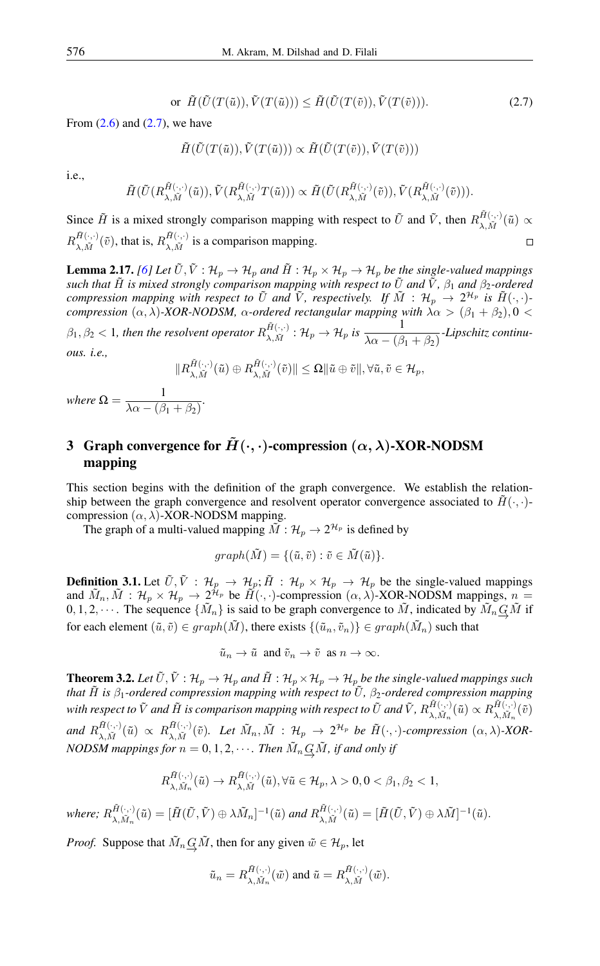$$
\text{or } \tilde{H}(\tilde{U}(T(\tilde{u})), \tilde{V}(T(\tilde{u}))) \le \tilde{H}(\tilde{U}(T(\tilde{v})), \tilde{V}(T(\tilde{v}))).\tag{2.7}
$$

<span id="page-5-0"></span>From  $(2.6)$  and  $(2.7)$ , we have

$$
\tilde{H}(\tilde{U}(T(\tilde{u})), \tilde{V}(T(\tilde{u}))) \propto \tilde{H}(\tilde{U}(T(\tilde{v})), \tilde{V}(T(\tilde{v})))
$$

i.e.,

$$
\tilde{H}(\tilde{U}(R_{\lambda, \tilde{M}}^{\tilde{H}(\cdot, \cdot)}(\tilde{u})), \tilde{V}(R_{\lambda, \tilde{M}}^{\tilde{H}(\cdot, \cdot)}T(\tilde{u}))) \propto \tilde{H}(\tilde{U}(R_{\lambda, \tilde{M}}^{\tilde{H}(\cdot, \cdot)}(\tilde{v})), \tilde{V}(R_{\lambda, \tilde{M}}^{\tilde{H}(\cdot, \cdot)}(\tilde{v}))).
$$

Since  $\tilde{H}$  is a mixed strongly comparison mapping with respect to  $\tilde{U}$  and  $\tilde{V}$ , then  $R_{\lambda M}^{\tilde{H}(\cdot,\cdot)}$  $\tilde{\mu}_{(\lambda,\tilde{M})}^{(H(\cdot,\cdot))}(\tilde{u}) \propto$  $R^{ \tilde{H}(\cdot,\cdot)}_{\scriptscriptstyle \lambda\,\tilde{M}}$  $\tilde{H}(\cdot,\cdot)\atop \lambda,\tilde{M}(\tilde{v}),$  that is,  $R_{\lambda,\tilde{M}}^{\tilde{H}(\cdot,\cdot)}$  $\sum_{\lambda,\tilde{M}}^{H(\cdot,\cdot)}$  is a comparison mapping.  $\Box$ 

<span id="page-5-1"></span>**Lemma 2.17.** *[\[6\]](#page-13-27)* Let  $\tilde{U}, \tilde{V} : \mathcal{H}_p \to \mathcal{H}_p$  and  $\tilde{H} : \mathcal{H}_p \times \mathcal{H}_p \to \mathcal{H}_p$  be the single-valued mappings *such that*  $\tilde{H}$  *is mixed strongly comparison mapping with respect to*  $\tilde{U}$  *and*  $\tilde{V}$ *,*  $\beta_1$  *and*  $\beta_2$ *-ordered compression mapping with respect to*  $\tilde{U}$  *and*  $\tilde{V}$ , *respectively.* If  $\tilde{M}$  :  $\mathcal{H}_p \to 2^{\mathcal{H}_p}$  *is*  $\tilde{H}(\cdot, \cdot)$ *compression*  $(α, λ)$ -XOR-NODSM,  $α$ -ordered rectangular mapping with  $λα > (β<sub>1</sub> + β<sub>2</sub>), 0 <$  $\beta_1, \beta_2 < 1$ , then the resolvent operator  $R_{\lambda M}^{\tilde{H}(\cdot, \cdot)}$  $\frac{\tilde{H}(\cdot,\cdot)}{\lambda,\tilde{M}}:\mathcal{H}_p\to\mathcal{H}_p$  is  $\frac{1}{\lambda\alpha-(\beta_1+\beta_2)}$ -Lipschitz continu*ous. i.e.,*

$$
||R_{\lambda,\tilde{M}}^{\tilde{H}(\cdot,\cdot)}(\tilde{u})\oplus R_{\lambda,\tilde{M}}^{\tilde{H}(\cdot,\cdot)}(\tilde{v})|| \leq \Omega ||\tilde{u}\oplus \tilde{v}||, \forall \tilde{u}, \tilde{v} \in \mathcal{H}_p,
$$

*where*  $\Omega = \frac{1}{\sqrt{2\pi} \sqrt{3}}$  $\frac{1}{\lambda \alpha - (\beta_1 + \beta_2)}$ .

## 3 Graph convergence for  $\tilde{H}(\cdot, \cdot)$ -compression  $(\alpha, \lambda)$ -XOR-NODSM mapping

This section begins with the definition of the graph convergence. We establish the relationship between the graph convergence and resolvent operator convergence associated to  $\tilde{H}(\cdot, \cdot)$ compression  $(\alpha, \lambda)$ -XOR-NODSM mapping.

The graph of a multi-valued mapping  $\tilde{M}$  :  $\mathcal{H}_p \rightarrow 2^{\mathcal{H}_p}$  is defined by

$$
graph(\tilde{M}) = \{(\tilde{u}, \tilde{v}) : \tilde{v} \in \tilde{M}(\tilde{u})\}.
$$

**Definition 3.1.** Let  $\tilde{U}, \tilde{V}$  :  $\mathcal{H}_p \to \mathcal{H}_p$ ;  $\tilde{H}$  :  $\mathcal{H}_p \times \mathcal{H}_p \to \mathcal{H}_p$  be the single-valued mappings and  $\tilde{M}_n$ ,  $\tilde{M}$  :  $\mathcal{H}_p \times \mathcal{H}_p \to 2^{\tilde{\mathcal{H}}_p}$  be  $\tilde{H}(\cdot, \cdot)$ -compression  $(\alpha, \lambda)$ -XOR-NODSM mappings,  $n =$  $0, 1, 2, \cdots$ . The sequence  $\{\tilde{M}_n\}$  is said to be graph convergence to  $\tilde{M}$ , indicated by  $\tilde{M}_n \underline{G}\tilde{M}$  if for each element  $(\tilde{u}, \tilde{v}) \in graph(\tilde{M})$ , there exists  $\{(\tilde{u}_n, \tilde{v}_n)\} \in graph(\tilde{M}_n)$  such that

$$
\tilde{u}_n \to \tilde{u}
$$
 and  $\tilde{v}_n \to \tilde{v}$  as  $n \to \infty$ .

<span id="page-5-2"></span>**Theorem 3.2.** Let  $\tilde{U}, \tilde{V}: \mathcal{H}_p \to \mathcal{H}_p$  and  $\tilde{H}: \mathcal{H}_p \times \mathcal{H}_p \to \mathcal{H}_p$  be the single-valued mappings such *that* H˜ *is* β1*-ordered compression mapping with respect to* U˜ *,* β2*-ordered compression mapping* with respect to  $\tilde{V}$  and  $\tilde{H}$  is comparison mapping with respect to  $\tilde{U}$  and  $\tilde{V}$ ,  $R_{\lambda}^{\tilde{H}(\cdot,\cdot)}$  $\tilde{H}^{(\cdot,\cdot)}_{\lambda,\tilde{M}_n}(\tilde{u}) \propto R_{\lambda,\tilde{M}_n}^{\tilde{H}(\cdot,\cdot)}$  $\tilde{\gamma}_{\lambda,\tilde{M}_n}^{H(\cdot,\cdot)}(\tilde{v})$ and  $R_{\lambda}^{\tilde{H}(\cdot,\cdot)}$  $\frac{\tilde{H}(\cdot,\cdot)}{\lambda,\tilde{M}}(\tilde{u})\ \propto\ R^{\tilde{H}(\cdot,\cdot)}_{\lambda,\tilde{M}}$  $A^{(H(\cdot,\cdot))}_{\lambda,\tilde{M}}(\tilde{v})$ *. Let*  $\tilde{M}_n, \tilde{M}$  :  $\mathcal{H}_p \to 2^{\mathcal{H}_p}$  be  $\tilde{H}(\cdot,\cdot)$ -compression  $(\alpha,\lambda)$ -XOR-*NODSM mappings for*  $n = 0, 1, 2, \cdots$  *. Then*  $\tilde{M}_n \underline{G} \tilde{M}$ *, if and only if* 

$$
R_{\lambda,\tilde{M}_n}^{\tilde{H}(\cdot,\cdot)}(\tilde{u})\to R_{\lambda,\tilde{M}}^{\tilde{H}(\cdot,\cdot)}(\tilde{u}),\forall \tilde{u}\in\mathcal{H}_p,\lambda>0,0<\beta_1,\beta_2<1,
$$

where;  $R_{\lambda}^{\tilde{H}(\cdot,\cdot)}$  $\tilde{H}(\cdot,\cdot)}_{\lambda,\tilde{M}_n}(\tilde{u})=[\tilde{H}(\tilde{U},\tilde{V})\oplus\lambda \tilde{M}_n]^{-1}(\tilde{u})$  and  $R_{\lambda,\tilde{M}}^{\tilde{H}(\cdot,\cdot)}$  $\tilde{M}_{[\lambda, \tilde{M}]}^{(f(\cdot, \cdot))}(\tilde{u}) = [\tilde{H}(\tilde{U}, \tilde{V}) \oplus \lambda \tilde{M}]^{-1}(\tilde{u}).$ 

*Proof.* Suppose that  $\tilde{M}_n \underline{G}\tilde{M}$ , then for any given  $\tilde{w} \in \mathcal{H}_p$ , let

$$
\tilde{u}_n = R_{\lambda, \tilde{M}_n}^{\tilde{H}(\cdot, \cdot)}(\tilde{w})
$$
 and  $\tilde{u} = R_{\lambda, \tilde{M}}^{\tilde{H}(\cdot, \cdot)}(\tilde{w}).$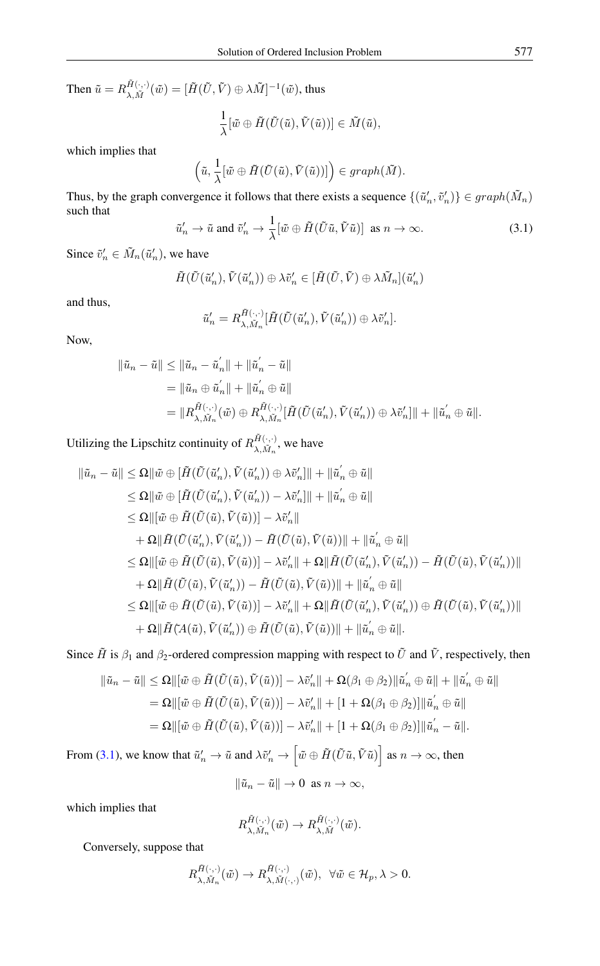Then  $\tilde{u} = R_{\lambda}^{\tilde{H}(\cdot,\cdot)}$  ${}^{H(\cdot,\cdot)}_{\lambda,\tilde{M}}(\tilde{w})=[\tilde{H}(\tilde{U},\tilde{V})\oplus\lambda \tilde{M}]^{-1}(\tilde{w}),$  thus

$$
\frac{1}{\lambda}[\tilde{w} \oplus \tilde{H}(\tilde{U}(\tilde{u}), \tilde{V}(\tilde{u}))] \in \tilde{M}(\tilde{u}),
$$

which implies that

$$
\left(\tilde{u},\frac{1}{\lambda}[\tilde{w} \oplus \tilde{H}(\tilde{U}(\tilde{u}),\tilde{V}(\tilde{u}))]\right) \in graph(\tilde{M}).
$$

<span id="page-6-0"></span>Thus, by the graph convergence it follows that there exists a sequence  $\{(\tilde{u}'_n, \tilde{v}'_n)\} \in graph(\tilde{M}_n)$ such that

$$
\tilde{u}'_n \to \tilde{u}
$$
 and  $\tilde{v}'_n \to \frac{1}{\lambda} [\tilde{w} \oplus \tilde{H} (\tilde{U}\tilde{u}, \tilde{V}\tilde{u})]$  as  $n \to \infty$ . (3.1)

Since  $\tilde{v}'_n \in \tilde{M}_n(\tilde{u}'_n)$ , we have

$$
\tilde{H}(\tilde{U}(\tilde{u}'_n),\tilde{V}(\tilde{u}'_n))\oplus \lambda \tilde{v}'_n\in [\tilde{H}(\tilde{U},\tilde{V})\oplus \lambda \tilde{M}_n](\tilde{u}'_n)
$$

and thus,

$$
\tilde{u}'_n = R^{\tilde{H}(\cdot,\cdot)}_{\lambda,\tilde{M}_n} [\tilde{H}(\tilde{U}(\tilde{u}'_n),\tilde{V}(\tilde{u}'_n)) \oplus \lambda \tilde{v}'_n].
$$

Now,

$$
\|\tilde{u}_n - \tilde{u}\| \le \|\tilde{u}_n - \tilde{u}'_n\| + \|\tilde{u}'_n - \tilde{u}\|
$$
  
\n
$$
= \|\tilde{u}_n \oplus \tilde{u}'_n\| + \|\tilde{u}'_n \oplus \tilde{u}\|
$$
  
\n
$$
= \|R_{\lambda, \tilde{M}_n}^{\tilde{H}(\cdot, \cdot)}(\tilde{w}) \oplus R_{\lambda, \tilde{M}_n}^{\tilde{H}(\cdot, \cdot)}[\tilde{H}(\tilde{U}(\tilde{u}'_n), \tilde{V}(\tilde{u}'_n)) \oplus \lambda \tilde{v}'_n]\| + \|\tilde{u}'_n \oplus \tilde{u}\|.
$$

Utilizing the Lipschitz continuity of  $R_{\lambda M}^{\tilde{H}(\cdot,\cdot)}$  $\sum_{\lambda,\tilde{M}_n}^{H(\cdot,\cdot)}$ , we have

$$
\|\tilde{u}_n - \tilde{u}\| \leq \Omega \|\tilde{w} \oplus [\tilde{H}(\tilde{U}(\tilde{u}'_n), \tilde{V}(\tilde{u}'_n)) \oplus \lambda \tilde{v}'_n]\| + \|\tilde{u}'_n \oplus \tilde{u}\|
$$
  
\n
$$
\leq \Omega \|\tilde{w} \oplus [\tilde{H}(\tilde{U}(\tilde{u}'_n), \tilde{V}(\tilde{u}'_n)) - \lambda \tilde{v}'_n]\| + \|\tilde{u}'_n \oplus \tilde{u}\|
$$
  
\n
$$
\leq \Omega \|\tilde{w} \oplus \tilde{H}(\tilde{U}(\tilde{u}), \tilde{V}(\tilde{u}))\| - \lambda \tilde{v}'_n\|
$$
  
\n
$$
+ \Omega \|\tilde{H}(\tilde{U}(\tilde{u}'_n), \tilde{V}(\tilde{u}'_n)) - \tilde{H}(\tilde{U}(\tilde{u}), \tilde{V}(\tilde{u}))\| + \|\tilde{u}'_n \oplus \tilde{u}\|
$$
  
\n
$$
\leq \Omega \|\tilde{w} \oplus \tilde{H}(\tilde{U}(\tilde{u}), \tilde{V}(\tilde{u}))\| - \lambda \tilde{v}'_n\| + \Omega \|\tilde{H}(\tilde{U}(\tilde{u}'_n), \tilde{V}(\tilde{u}'_n)) - \tilde{H}(\tilde{U}(\tilde{u}), \tilde{V}(\tilde{u}'_n))\|
$$
  
\n
$$
+ \Omega \|\tilde{H}(\tilde{U}(\tilde{u}), \tilde{V}(\tilde{u}'_n)) - \tilde{H}(\tilde{U}(\tilde{u}), \tilde{V}(\tilde{u}))\| + \|\tilde{u}'_n \oplus \tilde{u}\|
$$
  
\n
$$
\leq \Omega \|\tilde{w} \oplus \tilde{H}(\tilde{U}(\tilde{u}), \tilde{V}(\tilde{u}))\| - \lambda \tilde{v}'_n\| + \Omega \|\tilde{H}(\tilde{U}(\tilde{u}'_n), \tilde{V}(\tilde{u}'_n)) \oplus \tilde{H}(\tilde{U}(\tilde{u}), \tilde{V}
$$

Since  $\tilde{H}$  is  $\beta_1$  and  $\beta_2$ -ordered compression mapping with respect to  $\tilde{U}$  and  $\tilde{V}$ , respectively, then

$$
\|\tilde{u}_n - \tilde{u}\| \leq \Omega \|\left[\tilde{w} \oplus \tilde{H}(\tilde{U}(\tilde{u}), \tilde{V}(\tilde{u}))\right] - \lambda \tilde{v}'_n\| + \Omega(\beta_1 \oplus \beta_2) \|\tilde{u}'_n \oplus \tilde{u}\| + \|\tilde{u}'_n \oplus \tilde{u}\|
$$
  
\n
$$
= \Omega \|\left[\tilde{w} \oplus \tilde{H}(\tilde{U}(\tilde{u}), \tilde{V}(\tilde{u}))\right] - \lambda \tilde{v}'_n\| + \left[1 + \Omega(\beta_1 \oplus \beta_2)\right] \|\tilde{u}'_n \oplus \tilde{u}\|
$$
  
\n
$$
= \Omega \|\left[\tilde{w} \oplus \tilde{H}(\tilde{U}(\tilde{u}), \tilde{V}(\tilde{u}))\right] - \lambda \tilde{v}'_n\| + \left[1 + \Omega(\beta_1 \oplus \beta_2)\right] \|\tilde{u}'_n - \tilde{u}\|.
$$
  
\n(3.1) we know that  $\tilde{v}' \to \tilde{v}$  and  $\lambda \tilde{v}' \to \begin{bmatrix} \tilde{v} \oplus \tilde{H}(\tilde{U}(\tilde{u}), \tilde{V}(\tilde{u})) \end{bmatrix}$  as  $n \to \infty$ , then

From [\(3.1\)](#page-6-0), we know that  $\tilde{u}'_n \to \tilde{u}$  and  $\lambda \tilde{v}'_n \to \left[ \tilde{w} \oplus \tilde{H}(\tilde{U}\tilde{u}, \tilde{V}\tilde{u}) \right]$  as  $n \to \infty$ , then  $\|\tilde{u}_n - \tilde{u}\| \to 0 \text{ as } n \to \infty,$ 

which implies that

$$
R_{\lambda, \tilde{M}_n}^{\tilde{H}(\cdot, \cdot)}(\tilde{w}) \to R_{\lambda, \tilde{M}}^{\tilde{H}(\cdot, \cdot)}(\tilde{w}).
$$

Conversely, suppose that

$$
R_{\lambda,\tilde{M}_n}^{\tilde{H}(\cdot,\cdot)}(\tilde{w})\to R_{\lambda,\tilde{M}(\cdot,\cdot)}^{\tilde{H}(\cdot,\cdot)}(\tilde{w}),\ \ \forall \tilde{w}\in\mathcal{H}_p,\lambda>0.
$$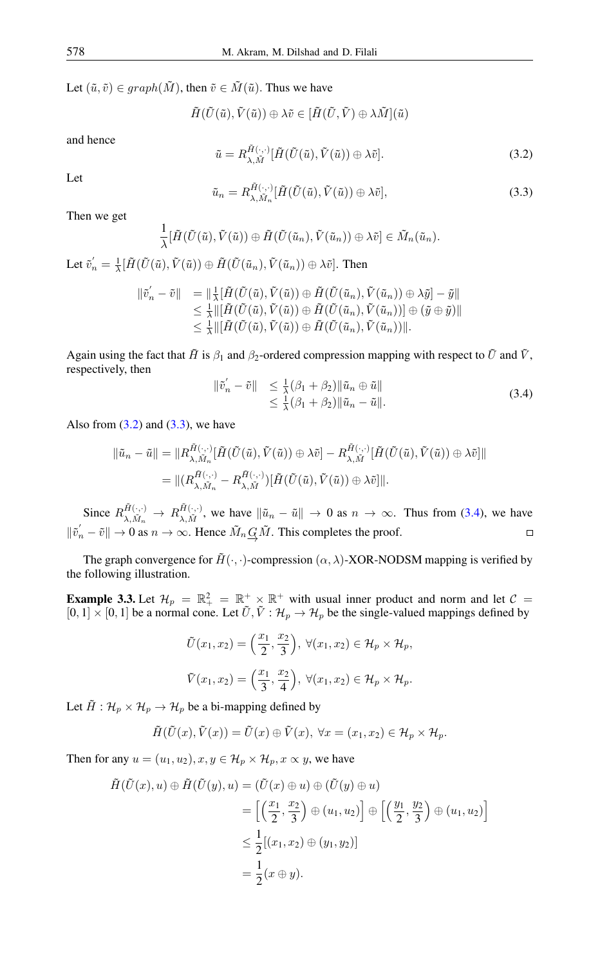Let  $(\tilde{u}, \tilde{v}) \in graph(\tilde{M})$ , then  $\tilde{v} \in \tilde{M}(\tilde{u})$ . Thus we have

$$
\tilde{H}(\tilde{U}(\tilde{u}),\tilde{V}(\tilde{u}))\oplus \lambda \tilde{v}\in [\tilde{H}(\tilde{U},\tilde{V})\oplus \lambda \tilde{M}](\tilde{u})
$$

<span id="page-7-0"></span>and hence

$$
\tilde{u} = R_{\lambda,\tilde{M}}^{\tilde{H}(\cdot,\cdot)} [\tilde{H}(\tilde{U}(\tilde{u}),\tilde{V}(\tilde{u})) \oplus \lambda \tilde{v}].
$$
\n(3.2)

<span id="page-7-1"></span>Let

$$
\tilde{u}_n = R^{\tilde{H}(\cdot,\cdot)}_{\lambda,\tilde{M}_n} [\tilde{H}(\tilde{U}(\tilde{u}),\tilde{V}(\tilde{u})) \oplus \lambda \tilde{v}], \tag{3.3}
$$

Then we get

$$
\frac{1}{\lambda}[\tilde{H}(\tilde{U}(\tilde{u}),\tilde{V}(\tilde{u}))\oplus \tilde{H}(\tilde{U}(\tilde{u}_n),\tilde{V}(\tilde{u}_n))\oplus \lambda \tilde{v}]\in \tilde{M}_n(\tilde{u}_n).
$$

Let  $\tilde{v}'_n = \frac{1}{\lambda} [\tilde{H}(\tilde{U}(\tilde{u}), \tilde{V}(\tilde{u})) \oplus \tilde{H}(\tilde{U}(\tilde{u}_n), \tilde{V}(\tilde{u}_n)) \oplus \lambda \tilde{v}]$ . Then

$$
\begin{array}{ll}\n\|\tilde{v}'_n - \tilde{v}\| & = \|\frac{1}{\lambda} [\tilde{H}(\tilde{U}(\tilde{u}), \tilde{V}(\tilde{u})) \oplus \tilde{H}(\tilde{U}(\tilde{u}_n), \tilde{V}(\tilde{u}_n)) \oplus \lambda \tilde{y}] - \tilde{y}\| \\
& \leq \frac{1}{\lambda} \|\left[\tilde{H}(\tilde{U}(\tilde{u}), \tilde{V}(\tilde{u})) \oplus \tilde{H}(\tilde{U}(\tilde{u}_n), \tilde{V}(\tilde{u}_n))\right] \oplus (\tilde{y} \oplus \tilde{y})\| \\
& \leq \frac{1}{\lambda} \|\left[\tilde{H}(\tilde{U}(\tilde{u}), \tilde{V}(\tilde{u})) \oplus \tilde{H}(\tilde{U}(\tilde{u}_n), \tilde{V}(\tilde{u}_n))\right]\n\end{array}
$$

Again using the fact that  $\tilde{H}$  is  $\beta_1$  and  $\beta_2$ -ordered compression mapping with respect to  $\tilde{U}$  and  $\tilde{V}$ , respectively, then

<span id="page-7-2"></span>
$$
\begin{aligned} \|\tilde{v}'_n - \tilde{v}\| &\leq \frac{1}{\lambda} (\beta_1 + \beta_2) \|\tilde{u}_n \oplus \tilde{u}\| \\ &\leq \frac{1}{\lambda} (\beta_1 + \beta_2) \|\tilde{u}_n - \tilde{u}\|. \end{aligned} \tag{3.4}
$$

Also from  $(3.2)$  and  $(3.3)$ , we have

$$
\begin{aligned} \|\tilde{u}_n - \tilde{u}\| &= \|R^{\tilde{H}(\cdot,\cdot)}_{\lambda,\tilde{M}_n}[\tilde{H}(\tilde{U}(\tilde{u}),\tilde{V}(\tilde{u})) \oplus \lambda \tilde{v}] - R^{\tilde{H}(\cdot,\cdot)}_{\lambda,\tilde{M}}[\tilde{H}(\tilde{U}(\tilde{u}),\tilde{V}(\tilde{u})) \oplus \lambda \tilde{v}]\| \\ &= \| (R^{\tilde{H}(\cdot,\cdot)}_{\lambda,\tilde{M}_n} - R^{\tilde{H}(\cdot,\cdot)}_{\lambda,\tilde{M}}) [\tilde{H}(\tilde{U}(\tilde{u}),\tilde{V}(\tilde{u})) \oplus \lambda \tilde{v}]\| .\end{aligned}
$$

Since  $R_{\lambda \tilde{M}}^{\tilde{H}(\cdot,\cdot)}$  $\frac{\tilde{H}(\cdot,\cdot)}{\lambda,\tilde{M}_n} \rightarrow R_{\lambda,\tilde{M}}^{\tilde{H}(\cdot,\cdot)}$  $\lim_{\lambda, \tilde{M}} (\cdot, \cdot)$ , we have  $\|\tilde{u}_n - \tilde{u}\| \to 0$  as  $n \to \infty$ . Thus from [\(3.4\)](#page-7-2), we have  $\|\tilde{v}'_n - \tilde{v}\| \to 0$  as  $n \to \infty$ . Hence  $\tilde{M}_n \underline{G} \tilde{M}$ . This completes the proof.  $\Box$ 

The graph convergence for  $\tilde{H}(\cdot, \cdot)$ -compression  $(\alpha, \lambda)$ -XOR-NODSM mapping is verified by the following illustration.

**Example 3.3.** Let  $\mathcal{H}_p = \mathbb{R}_+^2 = \mathbb{R}_+^+ \times \mathbb{R}^+$  with usual inner product and norm and let  $\mathcal{C} =$  $[0, 1] \times [0, 1]$  be a normal cone. Let  $\tilde{U}, \tilde{V} : \mathcal{H}_p \to \mathcal{H}_p$  be the single-valued mappings defined by

$$
\tilde{U}(x_1, x_2) = \left(\frac{x_1}{2}, \frac{x_2}{3}\right), \ \forall (x_1, x_2) \in \mathcal{H}_p \times \mathcal{H}_p,
$$
\n
$$
\tilde{V}(x_1, x_2) = \left(\frac{x_1}{3}, \frac{x_2}{4}\right), \ \forall (x_1, x_2) \in \mathcal{H}_p \times \mathcal{H}_p.
$$

Let  $\tilde{H}$ :  $\mathcal{H}_p \times \mathcal{H}_p \rightarrow \mathcal{H}_p$  be a bi-mapping defined by

$$
\tilde{H}(\tilde{U}(x),\tilde{V}(x)) = \tilde{U}(x) \oplus \tilde{V}(x), \ \forall x = (x_1,x_2) \in \mathcal{H}_p \times \mathcal{H}_p.
$$

Then for any  $u = (u_1, u_2), x, y \in \mathcal{H}_p \times \mathcal{H}_p, x \propto y$ , we have

$$
\tilde{H}(\tilde{U}(x), u) \oplus \tilde{H}(\tilde{U}(y), u) = (\tilde{U}(x) \oplus u) \oplus (\tilde{U}(y) \oplus u)
$$
\n
$$
= \left[ \left( \frac{x_1}{2}, \frac{x_2}{3} \right) \oplus (u_1, u_2) \right] \oplus \left[ \left( \frac{y_1}{2}, \frac{y_2}{3} \right) \oplus (u_1, u_2) \right]
$$
\n
$$
\leq \frac{1}{2} [(x_1, x_2) \oplus (y_1, y_2)]
$$
\n
$$
= \frac{1}{2} (x \oplus y).
$$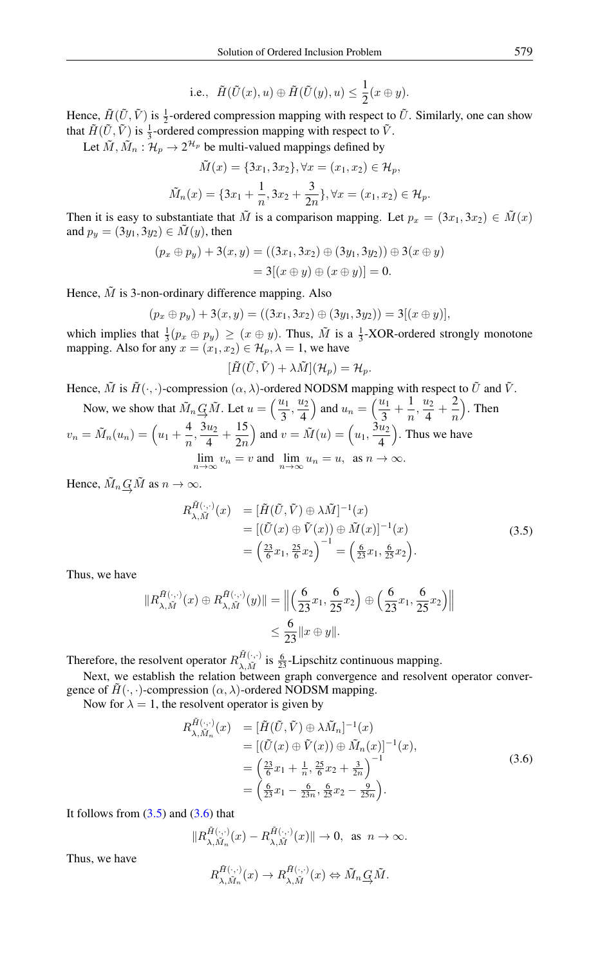i.e., 
$$
\tilde{H}(\tilde{U}(x), u) \oplus \tilde{H}(\tilde{U}(y), u) \leq \frac{1}{2}(x \oplus y).
$$

Hence,  $\tilde{H}(\tilde{U}, \tilde{V})$  is  $\frac{1}{2}$ -ordered compression mapping with respect to  $\tilde{U}$ . Similarly, one can show that  $\tilde{H}(\tilde{U}, \tilde{V})$  is  $\frac{1}{3}$ -ordered compression mapping with respect to  $\tilde{V}$ .

Let  $\tilde{M}$ ,  $\tilde{M}_n : \mathcal{H}_p \to 2^{\mathcal{H}_p}$  be multi-valued mappings defined by

$$
\tilde{M}(x) = \{3x_1, 3x_2\}, \forall x = (x_1, x_2) \in \mathcal{H}_p,
$$
  

$$
\tilde{M}_n(x) = \{3x_1 + \frac{1}{n}, 3x_2 + \frac{3}{2n}\}, \forall x = (x_1, x_2) \in \mathcal{H}_p.
$$

Then it is easy to substantiate that  $\tilde{M}$  is a comparison mapping. Let  $p_x = (3x_1, 3x_2) \in \tilde{M}(x)$ and  $p_y = (3y_1, 3y_2) \in \tilde{M}(y)$ , then

$$
(p_x \oplus p_y) + 3(x, y) = ((3x_1, 3x_2) \oplus (3y_1, 3y_2)) \oplus 3(x \oplus y)
$$
  
= 3[(x \oplus y) \oplus (x \oplus y)] = 0.

Hence,  $\tilde{M}$  is 3-non-ordinary difference mapping. Also

$$
(p_x \oplus p_y) + 3(x, y) = ((3x_1, 3x_2) \oplus (3y_1, 3y_2)) = 3[(x \oplus y)],
$$

which implies that  $\frac{1}{3}(p_x \oplus p_y) \ge (x \oplus y)$ . Thus,  $\tilde{M}$  is a  $\frac{1}{3}$ -XOR-ordered strongly monotone mapping. Also for any  $x = (x_1, x_2) \in \mathcal{H}_p, \lambda = 1$ , we have

$$
[\tilde{H}(\tilde{U},\tilde{V}) + \lambda \tilde{M}](\mathcal{H}_p) = \mathcal{H}_p.
$$

Hence,  $\tilde{M}$  is  $\tilde{H}(\cdot, \cdot)$ -compression  $(\alpha, \lambda)$ -ordered NODSM mapping with respect to  $\tilde{U}$  and  $\tilde{V}$ .

Now, we show that  $\tilde{M}_n \underline{G}\tilde{M}$ . Let  $u = \left(\frac{u_1}{3}\right)$  $rac{u_1}{3}, \frac{u_2}{4}$ 4 ) and  $u_n = \left(\frac{u_1}{2}\right)$  $\frac{u_1}{3} + \frac{1}{n}$  $\frac{1}{n},\frac{u_2}{4}$  $rac{u_2}{4} + \frac{2}{n}$ n ). Then  $v_n = \tilde{M}_n(u_n) = \left(u_1 + \frac{4}{n}\right)$  $\frac{4}{n}, \frac{3u_2}{4}$  $rac{u_2}{4} + \frac{15}{2n}$  $2n$ ) and  $v = \tilde{M}(u) = \left(u_1, \frac{3u_2}{4}\right)$ 4 . Thus we have  $\lim_{n \to \infty} v_n = v$  and  $\lim_{n \to \infty} u_n = u$ , as  $n \to \infty$ .

Hence,  $\tilde{M}_n \underline{G} \tilde{M}$  as  $n \to \infty$ .

<span id="page-8-0"></span>
$$
R_{\lambda, \tilde{M}}^{\tilde{H}(\cdot, \cdot)}(x) = [\tilde{H}(\tilde{U}, \tilde{V}) \oplus \lambda \tilde{M}]^{-1}(x)
$$
  
\n
$$
= [(\tilde{U}(x) \oplus \tilde{V}(x)) \oplus \tilde{M}(x)]^{-1}(x)
$$
  
\n
$$
= \left(\frac{23}{6}x_1, \frac{25}{6}x_2\right)^{-1} = \left(\frac{6}{23}x_1, \frac{6}{25}x_2\right).
$$
\n(3.5)

Thus, we have

$$
||R_{\lambda, \tilde{M}}^{\tilde{H}(\cdot, \cdot)}(x) \oplus R_{\lambda, \tilde{M}}^{\tilde{H}(\cdot, \cdot)}(y)|| = \left\| \left( \frac{6}{23} x_1, \frac{6}{25} x_2 \right) \oplus \left( \frac{6}{23} x_1, \frac{6}{25} x_2 \right) \right\|
$$
  
\$\leq \frac{6}{23} || x \oplus y ||.

Therefore, the resolvent operator  $R_{\lambda M}^{\tilde{H}(\cdot,\cdot)}$  $\sum_{\lambda,\tilde{M}}^{H(\cdot,\cdot)}$  is  $\frac{6}{23}$ -Lipschitz continuous mapping.

Next, we establish the relation between graph convergence and resolvent operator convergence of  $\tilde{H}(\cdot, \cdot)$ -compression  $(\alpha, \lambda)$ -ordered NODSM mapping.

Now for  $\lambda = 1$ , the resolvent operator is given by

<span id="page-8-1"></span>
$$
R_{\lambda, \tilde{M}_n}^{\tilde{H}(\cdot, \cdot)}(x) = [\tilde{H}(\tilde{U}, \tilde{V}) \oplus \lambda \tilde{M}_n]^{-1}(x)
$$
  
\n
$$
= [(\tilde{U}(x) \oplus \tilde{V}(x)) \oplus \tilde{M}_n(x)]^{-1}(x),
$$
  
\n
$$
= \left(\frac{23}{6}x_1 + \frac{1}{n}, \frac{25}{6}x_2 + \frac{3}{2n}\right)^{-1}
$$
  
\n
$$
= \left(\frac{6}{23}x_1 - \frac{6}{23n}, \frac{6}{25}x_2 - \frac{9}{25n}\right).
$$
\n(3.6)

It follows from  $(3.5)$  and  $(3.6)$  that

$$
||R_{\lambda, \tilde{M}_n}^{\tilde{H}(\cdot, \cdot)}(x) - R_{\lambda, \tilde{M}}^{\tilde{H}(\cdot, \cdot)}(x)|| \to 0, \text{ as } n \to \infty.
$$

Thus, we have

$$
R_{\lambda, \tilde{M}_n}^{\tilde{H}(\cdot, \cdot)}(x) \to R_{\lambda, \tilde{M}}^{\tilde{H}(\cdot, \cdot)}(x) \Leftrightarrow \tilde{M}_n \underline{G} \tilde{M}.
$$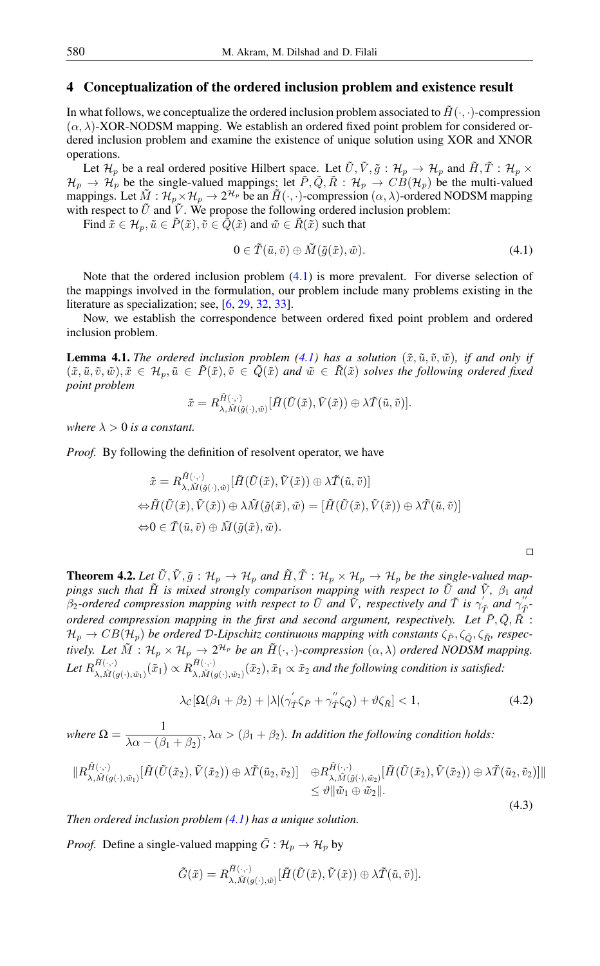## 4 Conceptualization of the ordered inclusion problem and existence result

In what follows, we conceptualize the ordered inclusion problem associated to  $\tilde{H}(\cdot, \cdot)$ -compression  $(\alpha, \lambda)$ -XOR-NODSM mapping. We establish an ordered fixed point problem for considered ordered inclusion problem and examine the existence of unique solution using XOR and XNOR operations.

Let  $\mathcal{H}_p$  be a real ordered positive Hilbert space. Let  $\tilde{U}, \tilde{V}, \tilde{g}: \mathcal{H}_p \to \mathcal{H}_p$  and  $\tilde{H}, \tilde{T}: \mathcal{H}_p \times$  $\mathcal{H}_p \to \mathcal{H}_p$  be the single-valued mappings; let  $\tilde{P}, \tilde{Q}, \tilde{R} : \mathcal{H}_p \to CB(\mathcal{H}_p)$  be the multi-valued mappings. Let  $\tilde{M}: \mathcal{H}_p \times \mathcal{H}_p \to 2^{\mathcal{H}_p}$  be an  $\tilde{H}(\cdot, \cdot)$ -compression  $(\alpha, \lambda)$ -ordered NODSM mapping with respect to  $\tilde{U}$  and  $\tilde{V}$ . We propose the following ordered inclusion problem:

Find  $\tilde{x} \in \mathcal{H}_n, \tilde{u} \in \tilde{P}(\tilde{x}), \tilde{v} \in \tilde{Q}(\tilde{x})$  and  $\tilde{w} \in \tilde{R}(\tilde{x})$  such that

<span id="page-9-0"></span>
$$
0 \in \tilde{T}(\tilde{u}, \tilde{v}) \oplus \tilde{M}(\tilde{g}(\tilde{x}), \tilde{w}). \tag{4.1}
$$

Note that the ordered inclusion problem [\(4.1\)](#page-9-0) is more prevalent. For diverse selection of the mappings involved in the formulation, our problem include many problems existing in the literature as specialization; see, [\[6,](#page-13-27) [29,](#page-14-5) [32,](#page-14-12) [33\]](#page-14-13).

Now, we establish the correspondence between ordered fixed point problem and ordered inclusion problem.

<span id="page-9-3"></span>**Lemma 4.1.** *The ordered inclusion problem* [\(4.1\)](#page-9-0) *has a solution* ( $\tilde{x}, \tilde{u}, \tilde{v}, \tilde{w}$ )*, if and only if*  $(\tilde{x}, \tilde{u}, \tilde{v}, \tilde{w}), \tilde{x} \in \mathcal{H}_p, \tilde{u} \in \tilde{P}(\tilde{x}), \tilde{v} \in \tilde{Q}(\tilde{x})$  and  $\tilde{w} \in \tilde{R}(\tilde{x})$  solves the following ordered fixed *point problem*

$$
\tilde{x} = R_{\lambda, \tilde{M}(\tilde{g}(\cdot), \tilde{w})}^{\tilde{H}(\cdot, \cdot)}[\tilde{H}(\tilde{U}(\tilde{x}), \tilde{V}(\tilde{x})) \oplus \lambda \tilde{T}(\tilde{u}, \tilde{v})].
$$

*where*  $\lambda > 0$  *is a constant.* 

*Proof.* By following the definition of resolvent operator, we have

$$
\tilde{x} = R_{\lambda, \tilde{M}(\tilde{g}(\cdot), \tilde{w})}^{\tilde{H}(\cdot, \cdot)}[\tilde{H}(\tilde{U}(\tilde{x}), \tilde{V}(\tilde{x})) \oplus \lambda \tilde{T}(\tilde{u}, \tilde{v})]
$$
  

$$
\Leftrightarrow \tilde{H}(\tilde{U}(\tilde{x}), \tilde{V}(\tilde{x})) \oplus \lambda \tilde{M}(\tilde{g}(\tilde{x}), \tilde{w}) = [\tilde{H}(\tilde{U}(\tilde{x}), \tilde{V}(\tilde{x})) \oplus \lambda \tilde{T}(\tilde{u}, \tilde{v})]
$$
  

$$
\Leftrightarrow 0 \in \tilde{T}(\tilde{u}, \tilde{v}) \oplus \tilde{M}(\tilde{g}(\tilde{x}), \tilde{w}).
$$

**Theorem 4.2.** Let  $\tilde{U}, \tilde{V}, \tilde{g}: \mathcal{H}_p \to \mathcal{H}_p$  and  $\tilde{H}, \tilde{T}: \mathcal{H}_p \times \mathcal{H}_p \to \mathcal{H}_p$  be the single-valued map*pings such that* H˜ *is mixed strongly comparison mapping with respect to* U˜ *and* V˜ *,* β<sup>1</sup> *and*  $\beta_2$ -ordered compression mapping with respect to  $\tilde{U}$  and  $\tilde{V}$ , respectively and  $\tilde{T}$  is  $\gamma_T^{'}$  and  $\gamma_T^{''}$ . *ordered compression mapping in the first and second argument, respectively. Let*  $\tilde{P}, \tilde{Q}, \tilde{R}$  :  $\mathcal{H}_p \to CB(\mathcal{H}_p)$  *be ordered D-Lipschitz continuous mapping with constants*  $\zeta_{\tilde{P}}, \zeta_{\tilde{Q}}, \zeta_{\tilde{R}}$ *, respectively. Let*  $\tilde{M}$  :  $H_p \times H_p \to 2^{\mathcal{H}_p}$  *be an*  $\tilde{H}(\cdot, \cdot)$ *-compression*  $(\alpha, \lambda)$  *ordered NODSM mapping.* Let  $R_{\lambda}^{\tilde{H}(\cdot,\cdot)}$  $\tilde{H}(\cdot,\cdot)\over \lambda,\tilde{M}(g(\cdot),\tilde{w}_1)}\big(\tilde{x}_1\big)\propto R_{\lambda,\tilde{M}(\cdot)}^{\tilde{H}(\cdot,\cdot)}$  $\lim_{\lambda, \tilde{M}(g(\cdot), \tilde{w}_2)} (\tilde{x}_2), \tilde{x}_1 \propto \tilde{x}_2$  and the following condition is satisfied:

$$
\lambda_{\mathcal{C}}[\Omega(\beta_1 + \beta_2) + |\lambda|(\gamma_{\tilde{T}}'\zeta_{\tilde{P}} + \gamma_{\tilde{T}}''\zeta_{\tilde{Q}}) + \vartheta\zeta_{\tilde{R}}] < 1,\tag{4.2}
$$

<span id="page-9-1"></span>(4.3)

<span id="page-9-2"></span> $\Box$ 

*where*  $\Omega = \frac{1}{\sqrt{2\pi} \sqrt{2}}$  $\frac{1}{\lambda \alpha - (\beta_1 + \beta_2)}$ ,  $\lambda \alpha > (\beta_1 + \beta_2)$ . In addition the following condition holds:

$$
\|R_{\lambda,\tilde{M}(g(\cdot),\tilde{w}_1)}^{\tilde{H}(\cdot,\cdot)}[\tilde{H}(\tilde{U}(\tilde{x}_2),\tilde{V}(\tilde{x}_2))\oplus \lambda \tilde{T}(\tilde{u}_2,\tilde{v}_2)] \quad \oplus R_{\lambda,\tilde{M}(\tilde{g}(\cdot),\tilde{w}_2)}^{\tilde{H}(\cdot,\cdot)}[\tilde{H}(\tilde{U}(\tilde{x}_2),\tilde{V}(\tilde{x}_2))\oplus \lambda \tilde{T}(\tilde{u}_2,\tilde{v}_2)]\|\\\leq \vartheta \|\tilde{w}_1\oplus \tilde{w}_2\|.
$$

*Then ordered inclusion problem [\(4.1\)](#page-9-0) has a unique solution.*

*Proof.* Define a single-valued mapping  $\tilde{G}$  :  $\mathcal{H}_p \to \mathcal{H}_p$  by

$$
\tilde{G}(\tilde{x}) = R_{\lambda, \tilde{M}(g(\cdot), \tilde{w})}^{\tilde{H}(\cdot, \cdot)}[\tilde{H}(\tilde{U}(\tilde{x}), \tilde{V}(\tilde{x})) \oplus \lambda \tilde{T}(\tilde{u}, \tilde{v})].
$$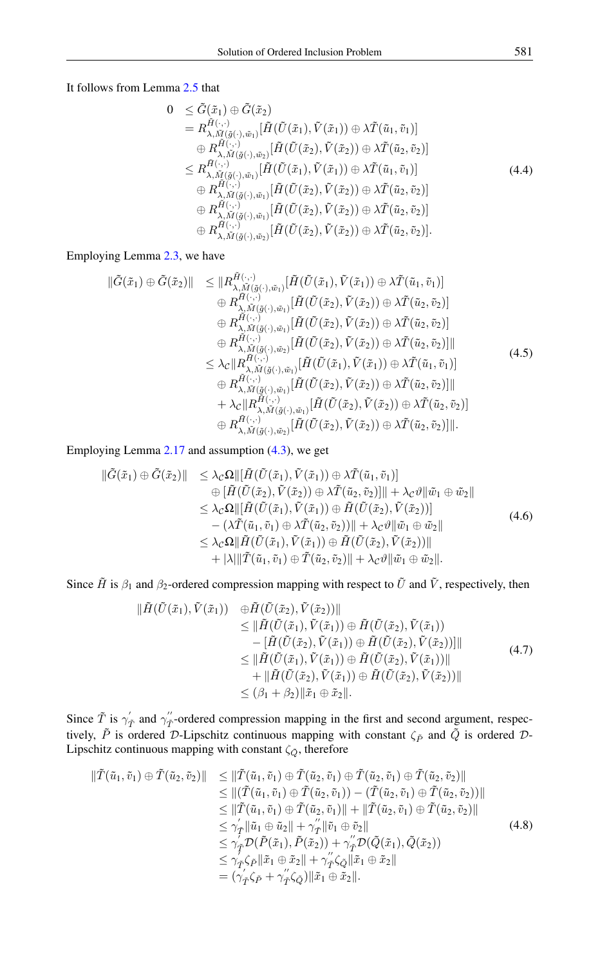It follows from Lemma [2.5](#page-2-0) that

$$
0 \leq \tilde{G}(\tilde{x}_1) \oplus \tilde{G}(\tilde{x}_2)
$$
\n
$$
= R_{\lambda, \tilde{M}(\tilde{g}(\cdot), \tilde{w}_1)}^{\tilde{H}(\cdot, \cdot)} [\tilde{H}(\tilde{U}(\tilde{x}_1), \tilde{V}(\tilde{x}_1)) \oplus \lambda \tilde{T}(\tilde{u}_1, \tilde{v}_1)]
$$
\n
$$
\oplus R_{\lambda, \tilde{M}(\tilde{g}(\cdot), \tilde{w}_2)}^{\tilde{H}(\cdot, \cdot)} [\tilde{H}(\tilde{U}(\tilde{x}_2), \tilde{V}(\tilde{x}_2)) \oplus \lambda \tilde{T}(\tilde{u}_2, \tilde{v}_2)]
$$
\n
$$
\leq R_{\lambda, \tilde{M}(\tilde{g}(\cdot), \tilde{w}_1)}^{\tilde{H}(\cdot, \cdot)} [\tilde{H}(\tilde{U}(\tilde{x}_1), \tilde{V}(\tilde{x}_1)) \oplus \lambda \tilde{T}(\tilde{u}_1, \tilde{v}_1)]
$$
\n
$$
\oplus R_{\lambda, \tilde{M}(\tilde{g}(\cdot), \tilde{w}_1)}^{\tilde{H}(\cdot, \cdot)} [\tilde{H}(\tilde{U}(\tilde{x}_2), \tilde{V}(\tilde{x}_2)) \oplus \lambda \tilde{T}(\tilde{u}_2, \tilde{v}_2)]
$$
\n
$$
\oplus R_{\lambda, \tilde{M}(\tilde{g}(\cdot), \tilde{w}_1)}^{\tilde{H}(\cdot, \cdot)} [\tilde{H}(\tilde{U}(\tilde{x}_2), \tilde{V}(\tilde{x}_2)) \oplus \lambda \tilde{T}(\tilde{u}_2, \tilde{v}_2)]
$$
\n
$$
\oplus R_{\lambda, \tilde{M}(\tilde{g}(\cdot), \tilde{w}_2)}^{\tilde{H}(\cdot, \cdot)} [\tilde{H}(\tilde{U}(\tilde{x}_2), \tilde{V}(\tilde{x}_2)) \oplus \lambda \tilde{T}(\tilde{u}_2, \tilde{v}_2)].
$$
\n(4.4)

## Employing Lemma [2.3,](#page-2-1) we have

$$
\begin{array}{lll}\n\|\tilde{G}(\tilde{x}_1) \oplus \tilde{G}(\tilde{x}_2)\| &\leq \|R_{\lambda, \tilde{M}(\tilde{g}(\cdot), \tilde{w}_1)}^{\tilde{H}(\cdot, \cdot)}[\tilde{H}(\tilde{U}(\tilde{x}_1), \tilde{V}(\tilde{x}_1)) \oplus \lambda \tilde{T}(\tilde{u}_1, \tilde{v}_1)] \\
&\quad \oplus R_{\lambda, \tilde{M}(\tilde{g}(\cdot), \tilde{w}_1)}^{\tilde{H}(\cdot, \cdot)}[\tilde{H}(\tilde{U}(\tilde{x}_2), \tilde{V}(\tilde{x}_2)) \oplus \lambda \tilde{T}(\tilde{u}_2, \tilde{v}_2)] \\
&\quad \oplus R_{\lambda, \tilde{M}(\tilde{g}(\cdot), \tilde{w}_1)}^{\tilde{H}(\cdot, \cdot)}[\tilde{H}(\tilde{U}(\tilde{x}_2), \tilde{V}(\tilde{x}_2)) \oplus \lambda \tilde{T}(\tilde{u}_2, \tilde{v}_2)] \\
&\quad \oplus R_{\lambda, \tilde{M}(\tilde{g}(\cdot), \tilde{w}_2)}^{\tilde{H}(\cdot, \cdot)}[\tilde{H}(\tilde{U}(\tilde{x}_2), \tilde{V}(\tilde{x}_2)) \oplus \lambda \tilde{T}(\tilde{u}_2, \tilde{v}_2)]\| \\
&\leq \lambda_{\mathcal{C}} \|R_{\lambda, \tilde{M}(\tilde{g}(\cdot), \tilde{w}_1)}^{\tilde{H}(\cdot, \cdot)}[\tilde{H}(\tilde{U}(\tilde{x}_1), \tilde{V}(\tilde{x}_1)) \oplus \lambda \tilde{T}(\tilde{u}_1, \tilde{v}_1)] \\
&\quad \oplus R_{\lambda, \tilde{M}(\tilde{g}(\cdot), \tilde{w}_1)}^{\tilde{H}(\cdot, \cdot)}[\tilde{H}(\tilde{U}(\tilde{x}_2), \tilde{V}(\tilde{x}_2)) \oplus \lambda \tilde{T}(\tilde{u}_2, \tilde{v}_2)]\| \\
&\quad + \lambda_{\mathcal{C}} \|R_{\lambda, \tilde{M}(\tilde{g}(\cdot), \tilde{w}_1)}^{\tilde{H}(\cdot, \cdot)}[\tilde{H}(\tilde{U}(\tilde{x}_
$$

Employing Lemma [2.17](#page-5-1) and assumption [\(4.3\)](#page-9-1), we get

<span id="page-10-1"></span>
$$
\begin{aligned}\n\|\tilde{G}(\tilde{x}_1) \oplus \tilde{G}(\tilde{x}_2)\| &\leq \lambda_{\mathcal{C}}\Omega \|\left[\tilde{H}(\tilde{U}(\tilde{x}_1), \tilde{V}(\tilde{x}_1)) \oplus \lambda \tilde{T}(\tilde{u}_1, \tilde{v}_1)\right] \\
&\quad \oplus \left[\tilde{H}(\tilde{U}(\tilde{x}_2), \tilde{V}(\tilde{x}_2)) \oplus \lambda \tilde{T}(\tilde{u}_2, \tilde{v}_2)\right] \| + \lambda_{\mathcal{C}}\vartheta \|\tilde{w}_1 \oplus \tilde{w}_2\| \\
&\leq \lambda_{\mathcal{C}}\Omega \|\left[\tilde{H}(\tilde{U}(\tilde{x}_1), \tilde{V}(\tilde{x}_1)) \oplus \tilde{H}(\tilde{U}(\tilde{x}_2), \tilde{V}(\tilde{x}_2))\right] \\
&\quad - (\lambda \tilde{T}(\tilde{u}_1, \tilde{v}_1) \oplus \lambda \tilde{T}(\tilde{u}_2, \tilde{v}_2)) \| + \lambda_{\mathcal{C}}\vartheta \|\tilde{w}_1 \oplus \tilde{w}_2\| \\
&\leq \lambda_{\mathcal{C}}\Omega \|\tilde{H}(\tilde{U}(\tilde{x}_1), \tilde{V}(\tilde{x}_1)) \oplus \tilde{H}(\tilde{U}(\tilde{x}_2), \tilde{V}(\tilde{x}_2))\| \\
&\quad + |\lambda| \|\tilde{T}(\tilde{u}_1, \tilde{v}_1) \oplus \tilde{T}(\tilde{u}_2, \tilde{v}_2)\| + \lambda_{\mathcal{C}}\vartheta \|\tilde{w}_1 \oplus \tilde{w}_2\|. \n\end{aligned} \tag{4.6}
$$

Since  $\tilde{H}$  is  $\beta_1$  and  $\beta_2$ -ordered compression mapping with respect to  $\tilde{U}$  and  $\tilde{V}$ , respectively, then

<span id="page-10-2"></span><span id="page-10-0"></span>
$$
\|\tilde{H}(\tilde{U}(\tilde{x}_1), \tilde{V}(\tilde{x}_1)) \quad \oplus \tilde{H}(\tilde{U}(\tilde{x}_2), \tilde{V}(\tilde{x}_2))\| \n\leq \|\tilde{H}(\tilde{U}(\tilde{x}_1), \tilde{V}(\tilde{x}_1)) \oplus \tilde{H}(\tilde{U}(\tilde{x}_2), \tilde{V}(\tilde{x}_1)) \n- [\tilde{H}(\tilde{U}(\tilde{x}_2), \tilde{V}(\tilde{x}_1)) \oplus \tilde{H}(\tilde{U}(\tilde{x}_2), \tilde{V}(\tilde{x}_2))]\| \n\leq \|\tilde{H}(\tilde{U}(\tilde{x}_1), \tilde{V}(\tilde{x}_1)) \oplus \tilde{H}(\tilde{U}(\tilde{x}_2), \tilde{V}(\tilde{x}_1))\| \n+ \|\tilde{H}(\tilde{U}(\tilde{x}_2), \tilde{V}(\tilde{x}_1)) \oplus \tilde{H}(\tilde{U}(\tilde{x}_2), \tilde{V}(\tilde{x}_2))\| \n\leq (\beta_1 + \beta_2) \|\tilde{x}_1 \oplus \tilde{x}_2\|.
$$
\n(4.7)

Since  $\tilde{T}$  is  $\gamma'_{\tilde{T}}$  and  $\gamma''_{\tilde{T}}$ -ordered compression mapping in the first and second argument, respectively,  $\tilde{P}$  is ordered D-Lipschitz continuous mapping with constant  $\zeta_{\tilde{P}}$  and  $\tilde{Q}$  is ordered D-Lipschitz continuous mapping with constant  $\zeta_{\tilde{Q}}$ , therefore

$$
\begin{split}\n\|\tilde{T}(\tilde{u}_1,\tilde{v}_1)\oplus\tilde{T}(\tilde{u}_2,\tilde{v}_2)\| &\leq \|\tilde{T}(\tilde{u}_1,\tilde{v}_1)\oplus\tilde{T}(\tilde{u}_2,\tilde{v}_1)\oplus\tilde{T}(\tilde{u}_2,\tilde{v}_1)\oplus\tilde{T}(\tilde{u}_2,\tilde{v}_2)\| \\
&\leq \|\tilde{T}(\tilde{u}_1,\tilde{v}_1)\oplus\tilde{T}(\tilde{u}_2,\tilde{v}_1)\| - \|\tilde{T}(\tilde{u}_2,\tilde{v}_1)\oplus\tilde{T}(\tilde{u}_2,\tilde{v}_2)\|\| \\
&\leq \|\tilde{T}(\tilde{u}_1,\tilde{v}_1)\oplus\tilde{T}(\tilde{u}_2,\tilde{v}_1)\| + \|\tilde{T}(\tilde{u}_2,\tilde{v}_1)\oplus\tilde{T}(\tilde{u}_2,\tilde{v}_2)\| \\
&\leq \gamma_{\tilde{T}}\|\tilde{u}_1\oplus\tilde{u}_2\| + \gamma_{\tilde{T}}\|\tilde{v}_1\oplus\tilde{v}_2\| \\
&\leq \gamma_{\tilde{T}}\mathcal{D}(\tilde{P}(\tilde{x}_1),\tilde{P}(\tilde{x}_2)) + \gamma_{\tilde{T}}\mathcal{D}(\tilde{Q}(\tilde{x}_1),\tilde{Q}(\tilde{x}_2)) \\
&\leq \gamma_{\tilde{T}}\zeta_{\tilde{P}}\|\tilde{x}_1\oplus\tilde{x}_2\| + \gamma_{\tilde{T}}'\zeta_{\tilde{Q}}\|\tilde{x}_1\oplus\tilde{x}_2\| \\
&= (\gamma_{\tilde{T}}'\zeta_{\tilde{P}} + \gamma_{\tilde{T}}'\zeta_{\tilde{Q}})\|\tilde{x}_1\oplus\tilde{x}_2\|. \n\end{split} \tag{4.8}
$$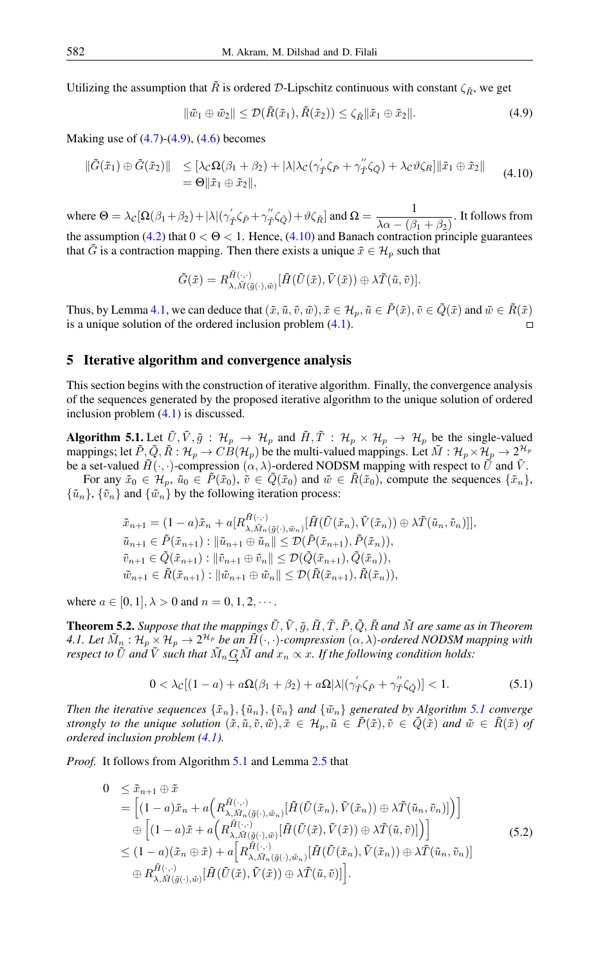Utilizing the assumption that  $\tilde{R}$  is ordered D-Lipschitz continuous with constant  $\zeta_{\tilde{R}}$ , we get

<span id="page-11-1"></span><span id="page-11-0"></span>
$$
\|\tilde{w}_1 \oplus \tilde{w}_2\| \le \mathcal{D}(\tilde{R}(\tilde{x}_1), \tilde{R}(\tilde{x}_2)) \le \zeta_{\tilde{R}} \|\tilde{x}_1 \oplus \tilde{x}_2\|.
$$
\n(4.9)

Making use of  $(4.7)$ - $(4.9)$ ,  $(4.6)$  becomes

$$
\begin{aligned} \|\tilde{G}(\tilde{x}_1) \oplus \tilde{G}(\tilde{x}_2)\| &\leq [\lambda_{\mathcal{C}}\Omega(\beta_1 + \beta_2) + |\lambda|\lambda_{\mathcal{C}}(\gamma_{\tilde{T}}'\zeta_{\tilde{P}} + \gamma_{\tilde{T}}''\zeta_{\tilde{Q}}) + \lambda_{\mathcal{C}}\vartheta\zeta_R] \|\tilde{x}_1 \oplus \tilde{x}_2\| \\ &= \Theta \|\tilde{x}_1 \oplus \tilde{x}_2\|, \end{aligned} \tag{4.10}
$$

where  $\Theta = \lambda_C [\Omega(\beta_1 + \beta_2) + |\lambda| (\gamma'_\mathcal{I} \zeta_{\tilde{P}} + \gamma''_\mathcal{I} \zeta_{\tilde{Q}}) + \vartheta \zeta_{\tilde{R}} ]$  and  $\Omega = \frac{1}{\lambda \alpha - (\beta)}$  $\frac{1}{\lambda \alpha - (\beta_1 + \beta_2)}$ . It follows from the assumption [\(4.2\)](#page-9-2) that  $0 < \Theta < 1$ . Hence, [\(4.10\)](#page-11-1) and Banach contraction principle guarantees that  $\tilde{G}$  is a contraction mapping. Then there exists a unique  $\tilde{x} \in \mathcal{H}_p$  such that

$$
\tilde{G}(\tilde{x}) = R^{\tilde{H}(\cdot,\cdot)}_{\lambda,\tilde{M}(\tilde{g}(\cdot),\tilde{w})} [\tilde{H}(\tilde{U}(\tilde{x}),\tilde{V}(\tilde{x})) \oplus \lambda \tilde{T}(\tilde{u},\tilde{v})].
$$

Thus, by Lemma [4.1,](#page-9-3) we can deduce that  $(\tilde{x}, \tilde{u}, \tilde{v}, \tilde{w}), \tilde{x} \in \mathcal{H}_p, \tilde{u} \in \tilde{P}(\tilde{x}), \tilde{v} \in \tilde{Q}(\tilde{x})$  and  $\tilde{w} \in \tilde{R}(\tilde{x})$ is a unique solution of the ordered inclusion problem [\(4.1\)](#page-9-0).  $\Box$ 

#### 5 Iterative algorithm and convergence analysis

This section begins with the construction of iterative algorithm. Finally, the convergence analysis of the sequences generated by the proposed iterative algorithm to the unique solution of ordered inclusion problem [\(4.1\)](#page-9-0) is discussed.

<span id="page-11-2"></span>**Algorithm 5.1.** Let  $\tilde{U}, \tilde{V}, \tilde{g} : \mathcal{H}_p \to \mathcal{H}_p$  and  $\tilde{H}, \tilde{T} : \mathcal{H}_p \times \mathcal{H}_p \to \mathcal{H}_p$  be the single-valued mappings; let  $\tilde{P},\tilde{Q},\tilde{R}:\mathcal{H}_p\to C\dot{B}(\mathcal{H}_p)$  be the multi-valued mappings. Let  $\tilde{M}:\mathcal{H}_p\times\mathcal{H}_p\to 2^{\mathcal{H}_p}$ be a set-valued  $\tilde{H}(\cdot, \cdot)$ -compression  $(\alpha, \lambda)$ -ordered NODSM mapping with respect to  $\tilde{U}$  and  $\tilde{V}$ .

For any  $\tilde{x}_0 \in \mathcal{H}_p$ ,  $\tilde{u}_0 \in \tilde{P}(\tilde{x}_0)$ ,  $\tilde{v} \in \tilde{Q}(\tilde{x}_0)$  and  $\tilde{w} \in \tilde{R}(\tilde{x}_0)$ , compute the sequences  $\{\tilde{x}_n\}$ ,  $\{\tilde{u}_n\}, \{\tilde{v}_n\}$  and  $\{\tilde{w}_n\}$  by the following iteration process:

$$
\tilde{x}_{n+1} = (1-a)\tilde{x}_n + a[R_{\lambda, \tilde{M}_n(\tilde{g}(\cdot), \tilde{w}_n)}^{\tilde{H}(\tilde{U}(\tilde{x}_n), \tilde{V}(\tilde{x}_n), \tilde{V}(\tilde{x}_n)) \oplus \lambda \tilde{T}(\tilde{u}_n, \tilde{v}_n)]],
$$
  
\n
$$
\tilde{u}_{n+1} \in \tilde{P}(\tilde{x}_{n+1}) : \|\tilde{u}_{n+1} \oplus \tilde{u}_n\| \leq \mathcal{D}(\tilde{P}(\tilde{x}_{n+1}), \tilde{P}(\tilde{x}_n)),
$$
  
\n
$$
\tilde{v}_{n+1} \in \tilde{Q}(\tilde{x}_{n+1}) : \|\tilde{v}_{n+1} \oplus \tilde{v}_n\| \leq \mathcal{D}(\tilde{Q}(\tilde{x}_{n+1}), \tilde{Q}(\tilde{x}_n)),
$$
  
\n
$$
\tilde{w}_{n+1} \in \tilde{R}(\tilde{x}_{n+1}) : \|\tilde{w}_{n+1} \oplus \tilde{w}_n\| \leq \mathcal{D}(\tilde{R}(\tilde{x}_{n+1}), \tilde{R}(\tilde{x}_n)),
$$

where  $a \in [0, 1]$ ,  $\lambda > 0$  and  $n = 0, 1, 2, \cdots$ .

**Theorem 5.2.** *Suppose that the mappings*  $\tilde{U}$ ,  $\tilde{V}$ ,  $\tilde{g}$ ,  $\tilde{H}$ ,  $\tilde{T}$ ,  $\tilde{P}$ ,  $\tilde{Q}$ ,  $\tilde{R}$  and  $\tilde{M}$  are same as in Theorem 4.1. Let  $\tilde{M}_n$  :  $H_p \times H_p \to 2^{\mathcal{H}_p}$  be an  $\tilde{H}(\cdot,\cdot)$ -compression  $(\alpha,\lambda)$ -ordered NODSM mapping with *respect to*  $\tilde{U}$  *and*  $\tilde{V}$  *such that*  $\tilde{M}_n \underline{G} \tilde{M}$  *and*  $x_n \propto x$ . If the following condition holds:

<span id="page-11-3"></span>
$$
0 < \lambda_{\mathcal{C}}[(1-a) + a\Omega(\beta_1 + \beta_2) + a\Omega|\lambda|(\gamma_T'\zeta_{\tilde{P}} + \gamma_T''\zeta_{\tilde{Q}})] < 1.
$$
 (5.1)

*Then the iterative sequences*  $\{\tilde{x}_n\}, \{\tilde{u}_n\}, \{\tilde{v}_n\}$  *and*  $\{\tilde{w}_n\}$  *generated by Algorithm [5.1](#page-11-2) converge strongly to the unique solution*  $(\tilde{x}, \tilde{u}, \tilde{v}, \tilde{w}), \tilde{x} \in \mathcal{H}_p, \tilde{u} \in \tilde{P}(\tilde{x}), \tilde{v} \in \tilde{Q}(\tilde{x})$  and  $\tilde{w} \in \tilde{R}(\tilde{x})$  of *ordered inclusion problem [\(4.1\)](#page-9-0).*

*Proof.* It follows from Algorithm [5.1](#page-11-2) and Lemma [2.5](#page-2-0) that

$$
0 \leq \tilde{x}_{n+1} \oplus \tilde{x}
$$
\n
$$
= \left[ (1-a)\tilde{x}_n + a\left(R_{\lambda, \tilde{M}_n(\tilde{g}(\cdot), \tilde{w}_n)}^{\tilde{H}(\cdot, \cdot)}[\tilde{H}(\tilde{U}(\tilde{x}_n), \tilde{V}(\tilde{x}_n)) \oplus \lambda \tilde{T}(\tilde{u}_n, \tilde{v}_n)]\right) \right]
$$
\n
$$
\oplus \left[ (1-a)\tilde{x} + a\left(R_{\lambda, \tilde{M}(\tilde{g}(\cdot), \tilde{w})}^{\tilde{H}(\cdot, \cdot)}[\tilde{H}(\tilde{U}(\tilde{x}), \tilde{V}(\tilde{x})) \oplus \lambda \tilde{T}(\tilde{u}, \tilde{v})]\right) \right]
$$
\n
$$
\leq (1-a)(\tilde{x}_n \oplus \tilde{x}) + a\left[R_{\lambda, \tilde{M}_n(\tilde{g}(\cdot), \tilde{w}_n)}^{\tilde{H}(\cdot, \cdot)}[\tilde{H}(\tilde{U}(\tilde{x}_n), \tilde{V}(\tilde{x}_n)) \oplus \lambda \tilde{T}(\tilde{u}_n, \tilde{v}_n)] \right]
$$
\n
$$
\oplus R_{\lambda, \tilde{M}(\tilde{g}(\cdot), \tilde{w})}^{\tilde{H}(\tilde{U}(\tilde{x}), \tilde{V}(\tilde{x}))} \oplus \lambda \tilde{T}(\tilde{u}, \tilde{v})\right].
$$
\n(5.2)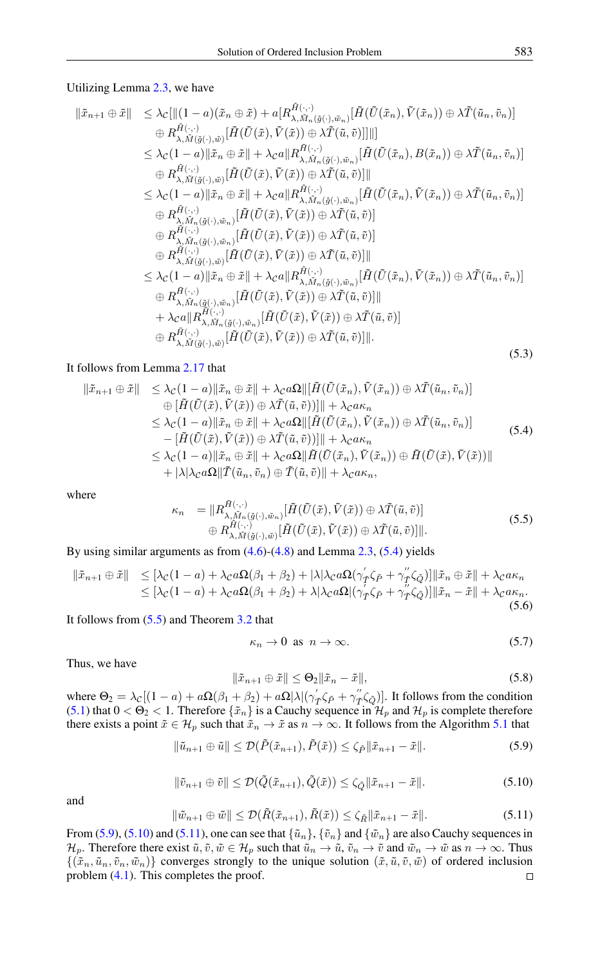#### Utilizing Lemma [2.3,](#page-2-1) we have

$$
\begin{array}{ll}\n\|\tilde{x}_{n+1} \oplus \tilde{x}\| & \leq \lambda_{\mathcal{C}}[\| (1-a)(\tilde{x}_{n} \oplus \tilde{x}) + a[R_{\lambda, \tilde{M}_{n}(\tilde{g}(\cdot), \tilde{w}_{n})}^{\tilde{H}(\cdot, \cdot)}[\tilde{H}(\tilde{U}(\tilde{x}_{n}), \tilde{V}(\tilde{x}_{n})) \oplus \lambda \tilde{T}(\tilde{u}_{n}, \tilde{v}_{n})] \\
& \quad \oplus R_{\lambda, \tilde{M}(\tilde{g}(\cdot), \tilde{w})}^{\tilde{H}(\cdot, \cdot)}[\tilde{H}(\tilde{U}(\tilde{x}), \tilde{V}(\tilde{x})) \oplus \lambda \tilde{T}(\tilde{u}, \tilde{v})]]\| \\
& \leq \lambda_{\mathcal{C}}(1-a)\|\tilde{x}_{n} \oplus \tilde{x}\| + \lambda_{\mathcal{C}}a\|R_{\lambda, \tilde{M}_{n}(\tilde{g}(\cdot), \tilde{w}_{n})}^{\tilde{H}(\tilde{U}(\tilde{x}_{n}), \tilde{v}_{n})}[\tilde{H}(\tilde{U}(\tilde{x}_{n}), B(\tilde{x}_{n})) \oplus \lambda \tilde{T}(\tilde{u}_{n}, \tilde{v}_{n})] \\
& \quad \oplus R_{\lambda, \tilde{M}(\tilde{g}(\cdot), \tilde{w})}^{\tilde{H}(\cdot, \cdot)}[\tilde{H}(\tilde{U}(\tilde{x}), \tilde{V}(\tilde{x})) \oplus \lambda \tilde{T}(\tilde{u}, \tilde{v})] \\
& \quad \oplus R_{\lambda, \tilde{M}_{n}(\tilde{g}(\cdot), \tilde{w}_{n})}^{\tilde{H}(\tilde{U}(\tilde{x}), \tilde{V}(\tilde{x}))}[\tilde{H}(\tilde{U}(\tilde{x}), \tilde{V}(\tilde{x})) \oplus \lambda \tilde{T}(\tilde{u}, \tilde{v})] \\
& \quad \oplus R_{\lambda, \tilde{M}_{n}(\tilde{g}(\cdot), \tilde{w}_{n})}^{\tilde{H}(\tilde{U}(\tilde{x}), \tilde{V}(\tilde{x}))} \oplus \lambda \tilde{T}(\tilde{u}, \tilde{v})] \\
& \quad \oplus R_{\lambda, \tilde{M
$$

## It follows from Lemma [2.17](#page-5-1) that

<span id="page-12-0"></span>
$$
\begin{aligned}\n\|\tilde{x}_{n+1} \oplus \tilde{x}\| &\leq \lambda_{\mathcal{C}}(1-a)\|\tilde{x}_{n} \oplus \tilde{x}\| + \lambda_{\mathcal{C}}a\Omega \|\left[\tilde{H}(\tilde{U}(\tilde{x}_{n}), \tilde{V}(\tilde{x}_{n})) \oplus \lambda \tilde{T}(\tilde{u}_{n}, \tilde{v}_{n})\right] \\
&\quad \oplus \left[\tilde{H}(\tilde{U}(\tilde{x}), \tilde{V}(\tilde{x})) \oplus \lambda \tilde{T}(\tilde{u}, \tilde{v})\right] \| + \lambda_{\mathcal{C}}a\kappa_{n} \\
&\leq \lambda_{\mathcal{C}}(1-a)\|\tilde{x}_{n} \oplus \tilde{x}\| + \lambda_{\mathcal{C}}a\Omega \|\left[\tilde{H}(\tilde{U}(\tilde{x}_{n}), \tilde{V}(\tilde{x}_{n})) \oplus \lambda \tilde{T}(\tilde{u}_{n}, \tilde{v}_{n})\right] \\
&\quad - \left[\tilde{H}(\tilde{U}(\tilde{x}), \tilde{V}(\tilde{x})) \oplus \lambda \tilde{T}(\tilde{u}, \tilde{v})\right] \| + \lambda_{\mathcal{C}}a\kappa_{n} \\
&\leq \lambda_{\mathcal{C}}(1-a)\|\tilde{x}_{n} \oplus \tilde{x}\| + \lambda_{\mathcal{C}}a\Omega \|\tilde{H}(\tilde{U}(\tilde{x}_{n}), \tilde{V}(\tilde{x}_{n})) \oplus \tilde{H}(\tilde{U}(\tilde{x}), \tilde{V}(\tilde{x}))\| \\
&\quad + |\lambda|\lambda_{\mathcal{C}}a\Omega \|\tilde{T}(\tilde{u}_{n}, \tilde{v}_{n}) \oplus \tilde{T}(\tilde{u}, \tilde{v})\| + \lambda_{\mathcal{C}}a\kappa_{n},\n\end{aligned} \tag{5.4}
$$

<span id="page-12-1"></span>where

$$
\kappa_n = \|R^{\tilde{H}(\cdot,\cdot)}_{\lambda,\tilde{M}_n(\tilde{g}(\cdot),\tilde{w}_n)}[\tilde{H}(\tilde{U}(\tilde{x}),\tilde{V}(\tilde{x})) \oplus \lambda \tilde{T}(\tilde{u},\tilde{v})] \n\oplus R^{\tilde{H}(\cdot,\cdot)}_{\lambda,\tilde{M}(\tilde{g}(\cdot),\tilde{w})}[\tilde{H}(\tilde{U}(\tilde{x}),\tilde{V}(\tilde{x})) \oplus \lambda \tilde{T}(\tilde{u},\tilde{v})]\|.
$$
\n(5.5)

By using similar arguments as from [\(4.6\)](#page-10-1)-[\(4.8\)](#page-10-2) and Lemma [2.3,](#page-2-1) [\(5.4\)](#page-12-0) yields

$$
\begin{aligned} \|\tilde{x}_{n+1} \oplus \tilde{x}\| &\leq [\lambda_{\mathcal{C}}(1-a) + \lambda_{\mathcal{C}}a\Omega(\beta_1 + \beta_2) + |\lambda|\lambda_{\mathcal{C}}a\Omega(\gamma_{\tilde{T}}'\zeta_{\tilde{P}} + \gamma_{\tilde{T}}''\zeta_{\tilde{Q}})]\|\tilde{x}_n \oplus \tilde{x}\| + \lambda_{\mathcal{C}}a\kappa_n \\ &\leq [\lambda_{\mathcal{C}}(1-a) + \lambda_{\mathcal{C}}a\Omega(\beta_1 + \beta_2) + \lambda|\lambda_{\mathcal{C}}a\Omega|(\gamma_{\tilde{T}}'\zeta_{\tilde{P}} + \gamma_{\tilde{T}}''\zeta_{\tilde{Q}})]\|\tilde{x}_n - \tilde{x}\| + \lambda_{\mathcal{C}}a\kappa_n. \end{aligned} \tag{5.6}
$$

It follows from [\(5.5\)](#page-12-1) and Theorem [3.2](#page-5-2) that

<span id="page-12-2"></span>
$$
\kappa_n \to 0 \text{ as } n \to \infty. \tag{5.7}
$$

Thus, we have

$$
\|\tilde{x}_{n+1}\oplus\tilde{x}\| \leq \Theta_2 \|\tilde{x}_n - \tilde{x}\|,\tag{5.8}
$$

where  $\Theta_2 = \lambda_C[(1-a) + a\Omega(\beta_1+\beta_2) + a\Omega|\lambda|(\gamma'_T\zeta_{\tilde{P}} + \gamma''_T\zeta_{\tilde{Q}})].$  It follows from the condition [\(5.1\)](#page-11-3) that  $0 < \Theta_2 < 1$ . Therefore  $\{\tilde{x}_n\}$  is a Cauchy sequence in  $\mathcal{H}_p$  and  $\mathcal{H}_p$  is complete therefore there exists a point  $\tilde{x} \in \mathcal{H}_p$  such that  $\tilde{x}_n \to \tilde{x}$  as  $n \to \infty$ . It follows from the Algorithm [5.1](#page-11-2) that

$$
\|\tilde{u}_{n+1}\oplus\tilde{u}\| \le \mathcal{D}(\tilde{P}(\tilde{x}_{n+1}),\tilde{P}(\tilde{x})) \le \zeta_{\tilde{P}}\|\tilde{x}_{n+1}-\tilde{x}\|.
$$
\n(5.9)

$$
\|\tilde{v}_{n+1}\oplus \tilde{v}\| \le \mathcal{D}(\tilde{Q}(\tilde{x}_{n+1}), \tilde{Q}(\tilde{x})) \le \zeta_{\tilde{Q}} \|\tilde{x}_{n+1} - \tilde{x}\|.
$$
\n(5.10)

<span id="page-12-4"></span><span id="page-12-3"></span>and

$$
\|\tilde{w}_{n+1}\oplus \tilde{w}\| \le \mathcal{D}(\tilde{R}(\tilde{x}_{n+1}), \tilde{R}(\tilde{x})) \le \zeta_{\tilde{R}} \|\tilde{x}_{n+1} - \tilde{x}\|.
$$
\n(5.11)

From [\(5.9\)](#page-12-2), [\(5.10\)](#page-12-3) and [\(5.11\)](#page-12-4), one can see that  $\{\tilde{u}_n\}$ ,  $\{\tilde{v}_n\}$  and  $\{\tilde{w}_n\}$  are also Cauchy sequences in  $\mathcal{H}_p$ . Therefore there exist  $\tilde{u}, \tilde{v}, \tilde{w} \in \mathcal{H}_p$  such that  $\tilde{u}_n \to \tilde{u}, \tilde{v}_n \to \tilde{v}$  and  $\tilde{w}_n \to \tilde{w}$  as  $n \to \infty$ . Thus  $\{(\tilde{x}_n, \tilde{u}_n, \tilde{v}_n, \tilde{w}_n)\}\$ converges strongly to the unique solution  $(\tilde{x}, \tilde{u}, \tilde{v}, \tilde{w})\$  of ordered inclusion problem [\(4.1\)](#page-9-0). This completes the proof. $\Box$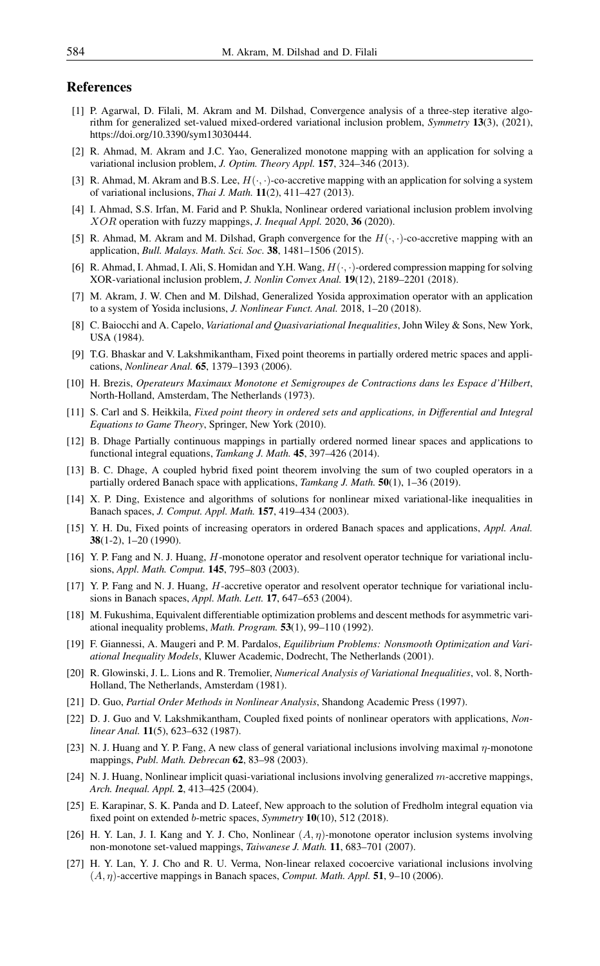## <span id="page-13-0"></span>References

- <span id="page-13-25"></span>[1] P. Agarwal, D. Filali, M. Akram and M. Dilshad, Convergence analysis of a three-step iterative algorithm for generalized set-valued mixed-ordered variational inclusion problem, *Symmetry* 13(3), (2021), https://doi.org/10.3390/sym13030444.
- <span id="page-13-6"></span>[2] R. Ahmad, M. Akram and J.C. Yao, Generalized monotone mapping with an application for solving a variational inclusion problem, *J. Optim. Theory Appl.* 157, 324–346 (2013).
- <span id="page-13-7"></span>[3] R. Ahmad, M. Akram and B.S. Lee,  $H(\cdot, \cdot)$ -co-accretive mapping with an application for solving a system of variational inclusions, *Thai J. Math.* 11(2), 411–427 (2013).
- <span id="page-13-26"></span>[4] I. Ahmad, S.S. Irfan, M. Farid and P. Shukla, Nonlinear ordered variational inclusion problem involving XOR operation with fuzzy mappings, *J. Inequal Appl.* 2020, 36 (2020).
- <span id="page-13-15"></span>[5] R. Ahmad, M. Akram and M. Dilshad, Graph convergence for the  $H(\cdot, \cdot)$ -co-accretive mapping with an application, *Bull. Malays. Math. Sci. Soc.* 38, 1481–1506 (2015).
- <span id="page-13-27"></span>[6] R. Ahmad, I. Ahmad, I. Ali, S. Homidan and Y.H. Wang, H(·, ·)-ordered compression mapping for solving XOR-variational inclusion problem, *J. Nonlin Convex Anal.* 19(12), 2189–2201 (2018).
- <span id="page-13-16"></span>[7] M. Akram, J. W. Chen and M. Dilshad, Generalized Yosida approximation operator with an application to a system of Yosida inclusions, *J. Nonlinear Funct. Anal.* 2018, 1–20 (2018).
- <span id="page-13-1"></span>[8] C. Baiocchi and A. Capelo, *Variational and Quasivariational Inequalities*, John Wiley & Sons, New York, USA (1984).
- <span id="page-13-21"></span>[9] T.G. Bhaskar and V. Lakshmikantham, Fixed point theorems in partially ordered metric spaces and applications, *Nonlinear Anal.* 65, 1379–1393 (2006).
- <span id="page-13-2"></span>[10] H. Brezis, *Operateurs Maximaux Monotone et Semigroupes de Contractions dans les Espace d'Hilbert*, North-Holland, Amsterdam, The Netherlands (1973).
- <span id="page-13-17"></span>[11] S. Carl and S. Heikkila, *Fixed point theory in ordered sets and applications, in Differential and Integral Equations to Game Theory*, Springer, New York (2010).
- <span id="page-13-18"></span>[12] B. Dhage Partially continuous mappings in partially ordered normed linear spaces and applications to functional integral equations, *Tamkang J. Math.* 45, 397–426 (2014).
- <span id="page-13-22"></span>[13] B. C. Dhage, A coupled hybrid fixed point theorem involving the sum of two coupled operators in a partially ordered Banach space with applications, *Tamkang J. Math.* 50(1), 1–36 (2019).
- <span id="page-13-8"></span>[14] X. P. Ding, Existence and algorithms of solutions for nonlinear mixed variational-like inequalities in Banach spaces, *J. Comput. Appl. Math.* 157, 419–434 (2003).
- <span id="page-13-23"></span>[15] Y. H. Du, Fixed points of increasing operators in ordered Banach spaces and applications, *Appl. Anal.* 38(1-2), 1–20 (1990).
- <span id="page-13-9"></span>[16] Y. P. Fang and N. J. Huang, H-monotone operator and resolvent operator technique for variational inclusions, *Appl. Math. Comput.* 145, 795–803 (2003).
- <span id="page-13-10"></span>[17] Y. P. Fang and N. J. Huang, H-accretive operator and resolvent operator technique for variational inclusions in Banach spaces, *Appl. Math. Lett.* 17, 647–653 (2004).
- <span id="page-13-3"></span>[18] M. Fukushima, Equivalent differentiable optimization problems and descent methods for asymmetric variational inequality problems, *Math. Program.* 53(1), 99–110 (1992).
- <span id="page-13-4"></span>[19] F. Giannessi, A. Maugeri and P. M. Pardalos, *Equilibrium Problems: Nonsmooth Optimization and Variational Inequality Models*, Kluwer Academic, Dodrecht, The Netherlands (2001).
- <span id="page-13-5"></span>[20] R. Glowinski, J. L. Lions and R. Tremolier, *Numerical Analysis of Variational Inequalities*, vol. 8, North-Holland, The Netherlands, Amsterdam (1981).
- <span id="page-13-19"></span>[21] D. Guo, *Partial Order Methods in Nonlinear Analysis*, Shandong Academic Press (1997).
- <span id="page-13-24"></span>[22] D. J. Guo and V. Lakshmikantham, Coupled fixed points of nonlinear operators with applications, *Nonlinear Anal.* 11(5), 623–632 (1987).
- <span id="page-13-11"></span>[23] N. J. Huang and Y. P. Fang, A new class of general variational inclusions involving maximal  $\eta$ -monotone mappings, *Publ. Math. Debrecan* 62, 83–98 (2003).
- <span id="page-13-12"></span>[24] N. J. Huang, Nonlinear implicit quasi-variational inclusions involving generalized m-accretive mappings, *Arch. Inequal. Appl.* 2, 413–425 (2004).
- <span id="page-13-20"></span>[25] E. Karapinar, S. K. Panda and D. Lateef, New approach to the solution of Fredholm integral equation via fixed point on extended b-metric spaces, *Symmetry* 10(10), 512 (2018).
- <span id="page-13-13"></span>[26] H. Y. Lan, J. I. Kang and Y. J. Cho, Nonlinear  $(A, \eta)$ -monotone operator inclusion systems involving non-monotone set-valued mappings, *Taiwanese J. Math.* 11, 683–701 (2007).
- <span id="page-13-14"></span>[27] H. Y. Lan, Y. J. Cho and R. U. Verma, Non-linear relaxed cocoercive variational inclusions involving  $(A, \eta)$ -accertive mappings in Banach spaces, *Comput. Math. Appl.* 51, 9–10 (2006).